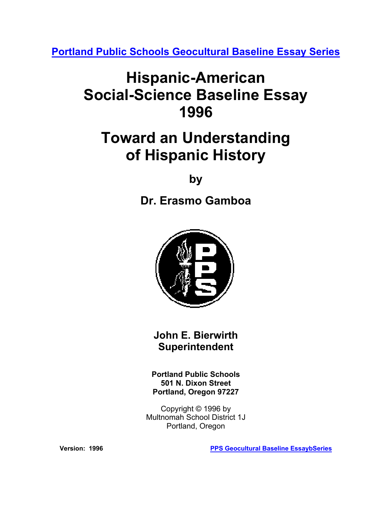**[Portland Public Schools Geocultural Baseline Essay Series](http://www.pps.k12.or.us/district/depts/mc-me/essays.shtml)**

# **Hispanic-American Social-Science Baseline Essay 1996**

# **Toward an Understanding of Hispanic History**

**by** 

**Dr. Erasmo Gamboa**



**John E. Bierwirth Superintendent**

**Portland Public Schools 501 N. Dixon Street Portland, Oregon 97227** 

Copyright © 1996 by Multnomah School District 1J Portland, Oregon

**Version: 1996 [PPS Geocultural Baseline EssaybSeries](http://www.pps.k12.or.us/district/depts/mc-me/essays.shtml)**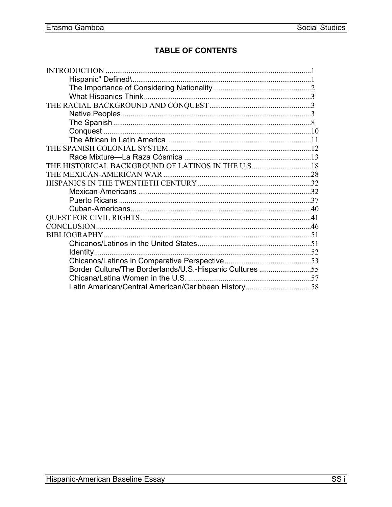# **TABLE OF CONTENTS**

| THE HISTORICAL BACKGROUND OF LATINOS IN THE U.S 18       |  |
|----------------------------------------------------------|--|
|                                                          |  |
|                                                          |  |
|                                                          |  |
|                                                          |  |
|                                                          |  |
|                                                          |  |
|                                                          |  |
|                                                          |  |
|                                                          |  |
|                                                          |  |
|                                                          |  |
| Border Culture/The Borderlands/U.S.-Hispanic Cultures 55 |  |
|                                                          |  |
|                                                          |  |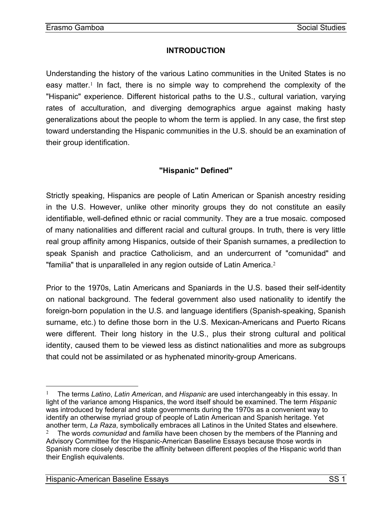## **INTRODUCTION**

<span id="page-2-0"></span>Understanding the history of the various Latino communities in the United States is no easy matter.[1](#page-2-1) In fact, there is no simple way to comprehend the complexity of the "Hispanic" experience. Different historical paths to the U.S., cultural variation, varying rates of acculturation, and diverging demographics argue against making hasty generalizations about the people to whom the term is applied. In any case, the first step toward understanding the Hispanic communities in the U.S. should be an examination of their group identification.

# **"Hispanic" Defined"**

Strictly speaking, Hispanics are people of Latin American or Spanish ancestry residing in the U.S. However, unlike other minority groups they do not constitute an easily identifiable, well-defined ethnic or racial community. They are a true mosaic. composed of many nationalities and different racial and cultural groups. In truth, there is very little real group affinity among Hispanics, outside of their Spanish surnames, a predilection to speak Spanish and practice Catholicism, and an undercurrent of "comunidad" and "familia" that is unparalleled in any region outside of Latin America.[2](#page-2-2)

Prior to the 1970s, Latin Americans and Spaniards in the U.S. based their self-identity on national background. The federal government also used nationality to identify the foreign-born population in the U.S. and language identifiers (Spanish-speaking, Spanish surname, etc.) to define those born in the U.S. Mexican-Americans and Puerto Ricans were different. Their long history in the U.S., plus their strong cultural and political identity, caused them to be viewed less as distinct nationalities and more as subgroups that could not be assimilated or as hyphenated minority-group Americans.

<u>.</u>

<span id="page-2-2"></span><span id="page-2-1"></span><sup>1</sup> The terms *Latino*, *Latin American*, and *Hispanic* are used interchangeably in this essay. In light of the variance among Hispanics, the word itself should be examined. The term *Hispanic* was introduced by federal and state governments during the 1970s as a convenient way to identify an otherwise myriad group of people of Latin American and Spanish heritage. Yet another term, *La Raza*, symbolically embraces all Latinos in the United States and elsewhere. <sup>2</sup> The words *comunidad* and *familia* have been chosen by the members of the Planning and Advisory Committee for the Hispanic-American Baseline Essays because those words in Spanish more closely describe the affinity between different peoples of the Hispanic world than their English equivalents.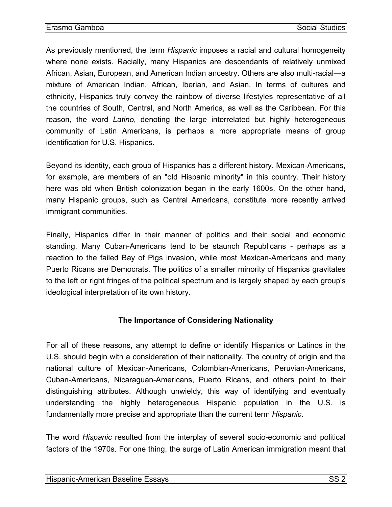<span id="page-3-0"></span>As previously mentioned, the term *Hispanic* imposes a racial and cultural homogeneity where none exists. Racially, many Hispanics are descendants of relatively unmixed African, Asian, European, and American Indian ancestry. Others are also multi-racial—a mixture of American Indian, African, Iberian, and Asian. In terms of cultures and ethnicity, Hispanics truly convey the rainbow of diverse lifestyles representative of all the countries of South, Central, and North America, as well as the Caribbean. For this reason, the word *Latino*, denoting the large interrelated but highly heterogeneous community of Latin Americans, is perhaps a more appropriate means of group identification for U.S. Hispanics.

Beyond its identity, each group of Hispanics has a different history. Mexican-Americans, for example, are members of an "old Hispanic minority" in this country. Their history here was old when British colonization began in the early 1600s. On the other hand, many Hispanic groups, such as Central Americans, constitute more recently arrived immigrant communities.

Finally, Hispanics differ in their manner of politics and their social and economic standing. Many Cuban-Americans tend to be staunch Republicans - perhaps as a reaction to the failed Bay of Pigs invasion, while most Mexican-Americans and many Puerto Ricans are Democrats. The politics of a smaller minority of Hispanics gravitates to the left or right fringes of the political spectrum and is largely shaped by each group's ideological interpretation of its own history.

# **The Importance of Considering Nationality**

For all of these reasons, any attempt to define or identify Hispanics or Latinos in the U.S. should begin with a consideration of their nationality. The country of origin and the national culture of Mexican-Americans, Colombian-Americans, Peruvian-Americans, Cuban-Americans, Nicaraguan-Americans, Puerto Ricans, and others point to their distinguishing attributes. Although unwieldy, this way of identifying and eventually understanding the highly heterogeneous Hispanic population in the U.S. is fundamentally more precise and appropriate than the current term *Hispanic*.

The word *Hispanic* resulted from the interplay of several socio-economic and political factors of the 1970s. For one thing, the surge of Latin American immigration meant that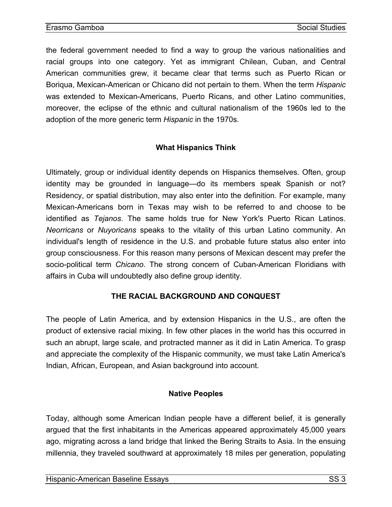<span id="page-4-0"></span>the federal government needed to find a way to group the various nationalities and racial groups into one category. Yet as immigrant Chilean, Cuban, and Central American communities grew, it became clear that terms such as Puerto Rican or Boriqua, Mexican-American or Chicano did not pertain to them. When the term *Hispanic* was extended to Mexican-Americans, Puerto Ricans, and other Latino communities, moreover, the eclipse of the ethnic and cultural nationalism of the 1960s led to the adoption of the more generic term *Hispanic* in the 1970s.

## **What Hispanics Think**

Ultimately, group or individual identity depends on Hispanics themselves. Often, group identity may be grounded in language—do its members speak Spanish or not? Residency, or spatial distribution, may also enter into the definition. For example, many Mexican-Americans born in Texas may wish to be referred to and choose to be identified as *Tejanos*. The same holds true for New York's Puerto Rican Latinos. *Neorricans* or *Nuyoricans* speaks to the vitality of this urban Latino community. An individual's length of residence in the U.S. and probable future status also enter into group consciousness. For this reason many persons of Mexican descent may prefer the socio-political term *Chicano*. The strong concern of Cuban-American Floridians with affairs in Cuba will undoubtedly also define group identity.

## **THE RACIAL BACKGROUND AND CONQUEST**

The people of Latin America, and by extension Hispanics in the U.S., are often the product of extensive racial mixing. In few other places in the world has this occurred in such an abrupt, large scale, and protracted manner as it did in Latin America. To grasp and appreciate the complexity of the Hispanic community, we must take Latin America's Indian, African, European, and Asian background into account.

## **Native Peoples**

Today, although some American Indian people have a different belief, it is generally argued that the first inhabitants in the Americas appeared approximately 45,000 years ago, migrating across a land bridge that linked the Bering Straits to Asia. In the ensuing millennia, they traveled southward at approximately 18 miles per generation, populating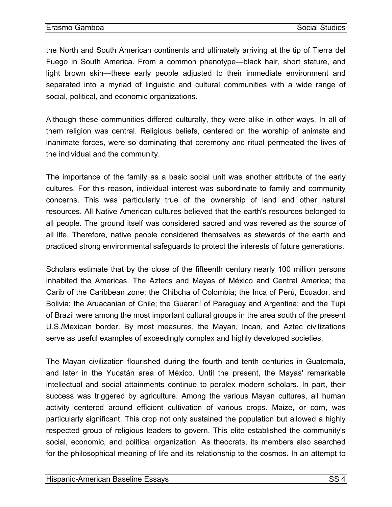the North and South American continents and ultimately arriving at the tip of Tierra del Fuego in South America. From a common phenotype—black hair, short stature, and light brown skin—these early people adjusted to their immediate environment and separated into a myriad of linguistic and cultural communities with a wide range of social, political, and economic organizations.

Although these communities differed culturally, they were alike in other ways. In all of them religion was central. Religious beliefs, centered on the worship of animate and inanimate forces, were so dominating that ceremony and ritual permeated the lives of the individual and the community.

The importance of the family as a basic social unit was another attribute of the early cultures. For this reason, individual interest was subordinate to family and community concerns. This was particularly true of the ownership of land and other natural resources. All Native American cultures believed that the earth's resources belonged to all people. The ground itself was considered sacred and was revered as the source of all life. Therefore, native people considered themselves as stewards of the earth and practiced strong environmental safeguards to protect the interests of future generations.

Scholars estimate that by the close of the fifteenth century nearly 100 million persons inhabited the Americas. The Aztecs and Mayas of México and Central America; the Carib of the Caribbean zone; the Chibcha of Colombia; the Inca of Perú, Ecuador, and Bolivia; the Aruacanian of Chile; the Guaraní of Paraguay and Argentina; and the Tupi of Brazil were among the most important cultural groups in the area south of the present U.S./Mexican border. By most measures, the Mayan, Incan, and Aztec civilizations serve as useful examples of exceedingly complex and highly developed societies.

The Mayan civilization flourished during the fourth and tenth centuries in Guatemala, and later in the Yucatán area of México. Until the present, the Mayas' remarkable intellectual and social attainments continue to perplex modern scholars. In part, their success was triggered by agriculture. Among the various Mayan cultures, all human activity centered around efficient cultivation of various crops. Maize, or corn, was particularly significant. This crop not only sustained the population but allowed a highly respected group of religious leaders to govern. This elite established the community's social, economic, and political organization. As theocrats, its members also searched for the philosophical meaning of life and its relationship to the cosmos. In an attempt to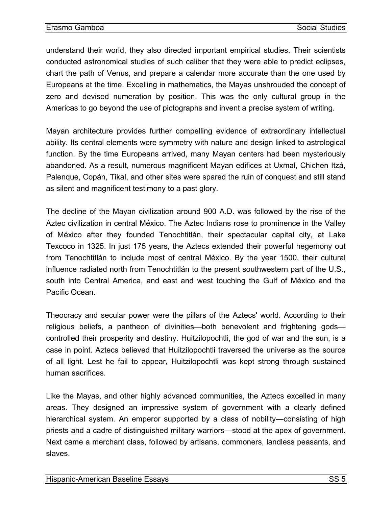understand their world, they also directed important empirical studies. Their scientists conducted astronomical studies of such caliber that they were able to predict eclipses, chart the path of Venus, and prepare a calendar more accurate than the one used by Europeans at the time. Excelling in mathematics, the Mayas unshrouded the concept of zero and devised numeration by position. This was the only cultural group in the Americas to go beyond the use of pictographs and invent a precise system of writing.

Mayan architecture provides further compelling evidence of extraordinary intellectual ability. Its central elements were symmetry with nature and design linked to astrological function. By the time Europeans arrived, many Mayan centers had been mysteriously abandoned. As a result, numerous magnificent Mayan edifices at Uxmal, Chichen Itzá, Palenque, Copán, Tikal, and other sites were spared the ruin of conquest and still stand as silent and magnificent testimony to a past glory.

The decline of the Mayan civilization around 900 A.D. was followed by the rise of the Aztec civilization in central México. The Aztec Indians rose to prominence in the Valley of México after they founded Tenochtitlán, their spectacular capital city, at Lake Texcoco in 1325. In just 175 years, the Aztecs extended their powerful hegemony out from Tenochtitlán to include most of central México. By the year 1500, their cultural influence radiated north from Tenochtitlán to the present southwestern part of the U.S., south into Central America, and east and west touching the Gulf of México and the Pacific Ocean.

Theocracy and secular power were the pillars of the Aztecs' world. According to their religious beliefs, a pantheon of divinities—both benevolent and frightening gods controlled their prosperity and destiny. Huitzilopochtli, the god of war and the sun, is a case in point. Aztecs believed that Huitzilopochtli traversed the universe as the source of all light. Lest he fail to appear, Huitzilopochtli was kept strong through sustained human sacrifices.

Like the Mayas, and other highly advanced communities, the Aztecs excelled in many areas. They designed an impressive system of government with a clearly defined hierarchical system. An emperor supported by a class of nobility—consisting of high priests and a cadre of distinguished military warriors—stood at the apex of government. Next came a merchant class, followed by artisans, commoners, landless peasants, and slaves.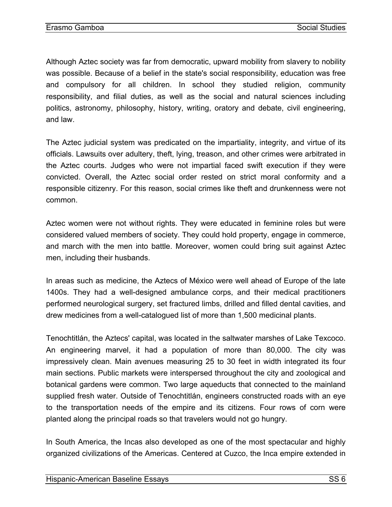Although Aztec society was far from democratic, upward mobility from slavery to nobility was possible. Because of a belief in the state's social responsibility, education was free and compulsory for all children. In school they studied religion, community responsibility, and filial duties, as well as the social and natural sciences including politics, astronomy, philosophy, history, writing, oratory and debate, civil engineering, and law.

The Aztec judicial system was predicated on the impartiality, integrity, and virtue of its officials. Lawsuits over adultery, theft, lying, treason, and other crimes were arbitrated in the Aztec courts. Judges who were not impartial faced swift execution if they were convicted. Overall, the Aztec social order rested on strict moral conformity and a responsible citizenry. For this reason, social crimes like theft and drunkenness were not common.

Aztec women were not without rights. They were educated in feminine roles but were considered valued members of society. They could hold property, engage in commerce, and march with the men into battle. Moreover, women could bring suit against Aztec men, including their husbands.

In areas such as medicine, the Aztecs of México were well ahead of Europe of the late 1400s. They had a well-designed ambulance corps, and their medical practitioners performed neurological surgery, set fractured limbs, drilled and filled dental cavities, and drew medicines from a well-catalogued list of more than 1,500 medicinal plants.

Tenochtitlán, the Aztecs' capital, was located in the saltwater marshes of Lake Texcoco. An engineering marvel, it had a population of more than 80,000. The city was impressively clean. Main avenues measuring 25 to 30 feet in width integrated its four main sections. Public markets were interspersed throughout the city and zoological and botanical gardens were common. Two large aqueducts that connected to the mainland supplied fresh water. Outside of Tenochtitlán, engineers constructed roads with an eye to the transportation needs of the empire and its citizens. Four rows of corn were planted along the principal roads so that travelers would not go hungry.

In South America, the Incas also developed as one of the most spectacular and highly organized civilizations of the Americas. Centered at Cuzco, the Inca empire extended in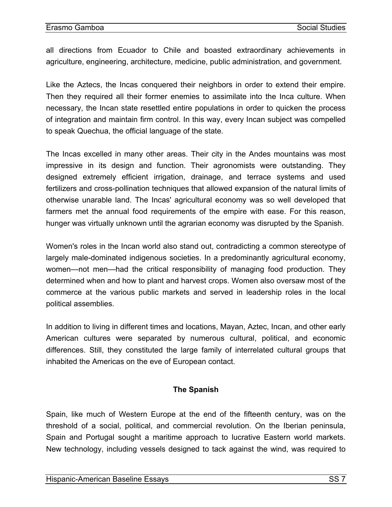all directions from Ecuador to Chile and boasted extraordinary achievements in agriculture, engineering, architecture, medicine, public administration, and government.

Like the Aztecs, the Incas conquered their neighbors in order to extend their empire. Then they required all their former enemies to assimilate into the Inca culture. When necessary, the Incan state resettled entire populations in order to quicken the process of integration and maintain firm control. In this way, every Incan subject was compelled to speak Quechua, the official language of the state.

The Incas excelled in many other areas. Their city in the Andes mountains was most impressive in its design and function. Their agronomists were outstanding. They designed extremely efficient irrigation, drainage, and terrace systems and used fertilizers and cross-pollination techniques that allowed expansion of the natural limits of otherwise unarable land. The Incas' agricultural economy was so well developed that farmers met the annual food requirements of the empire with ease. For this reason, hunger was virtually unknown until the agrarian economy was disrupted by the Spanish.

Women's roles in the Incan world also stand out, contradicting a common stereotype of largely male-dominated indigenous societies. In a predominantly agricultural economy, women—not men—had the critical responsibility of managing food production. They determined when and how to plant and harvest crops. Women also oversaw most of the commerce at the various public markets and served in leadership roles in the local political assemblies.

In addition to living in different times and locations, Mayan, Aztec, Incan, and other early American cultures were separated by numerous cultural, political, and economic differences. Still, they constituted the large family of interrelated cultural groups that inhabited the Americas on the eve of European contact.

## **The Spanish**

Spain, like much of Western Europe at the end of the fifteenth century, was on the threshold of a social, political, and commercial revolution. On the Iberian peninsula, Spain and Portugal sought a maritime approach to lucrative Eastern world markets. New technology, including vessels designed to tack against the wind, was required to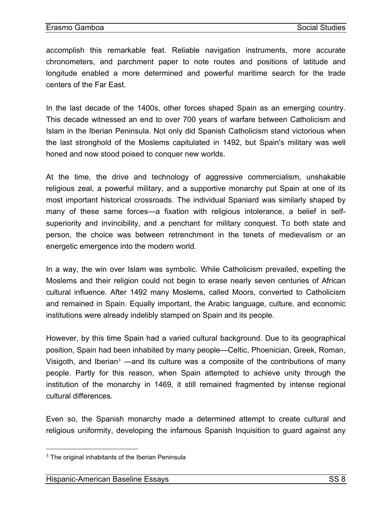<span id="page-9-0"></span>accomplish this remarkable feat. Reliable navigation instruments, more accurate chronometers, and parchment paper to note routes and positions of latitude and longitude enabled a more determined and powerful maritime search for the trade centers of the Far East.

In the last decade of the 1400s, other forces shaped Spain as an emerging country. This decade witnessed an end to over 700 years of warfare between Catholicism and Islam in the Iberian Peninsula. Not only did Spanish Catholicism stand victorious when the last stronghold of the Moslems capitulated in 1492, but Spain's military was well honed and now stood poised to conquer new worlds.

At the time, the drive and technology of aggressive commercialism, unshakable religious zeal, a powerful military, and a supportive monarchy put Spain at one of its most important historical crossroads. The individual Spaniard was similarly shaped by many of these same forces—a fixation with religious intolerance, a belief in selfsuperiority and invincibility, and a penchant for military conquest. To both state and person, the choice was between retrenchment in the tenets of medievalism or an energetic emergence into the modern world.

In a way, the win over Islam was symbolic. While Catholicism prevailed, expelling the Moslems and their religion could not begin to erase nearly seven centuries of African cultural influence. After 1492 many Moslems, called Moors, converted to Catholicism and remained in Spain. Equally important, the Arabic language, culture, and economic institutions were already indelibly stamped on Spain and its people.

However, by this time Spain had a varied cultural background. Due to its geographical position, Spain had been inhabited by many people—Celtic, Phoenician, Greek, Roman, Visigoth, and Iberian<sup>3</sup> —and its culture was a composite of the contributions of many people. Partly for this reason, when Spain attempted to achieve unity through the institution of the monarchy in 1469, it still remained fragmented by intense regional cultural differences.

Even so, the Spanish monarchy made a determined attempt to create cultural and religious uniformity, [de](#page-9-1)veloping the infamous Spanish Inquisition to guard against any

 $\overline{a}$ 

<span id="page-9-1"></span> $3$  The original inhabitants of the Iberian Peninsula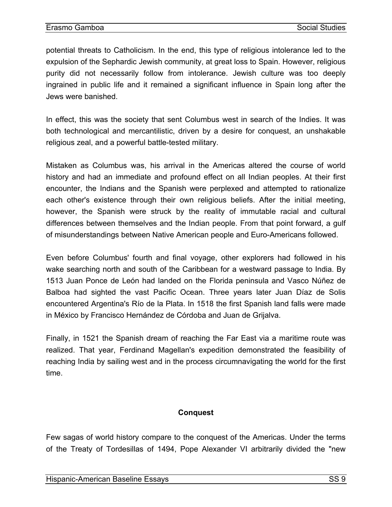potential threats to Catholicism. In the end, this type of religious intolerance led to the expulsion of the Sephardic Jewish community, at great loss to Spain. However, religious purity did not necessarily follow from intolerance. Jewish culture was too deeply ingrained in public life and it remained a significant influence in Spain long after the Jews were banished.

In effect, this was the society that sent Columbus west in search of the Indies. It was both technological and mercantilistic, driven by a desire for conquest, an unshakable religious zeal, and a powerful battle-tested military.

Mistaken as Columbus was, his arrival in the Americas altered the course of world history and had an immediate and profound effect on all Indian peoples. At their first encounter, the Indians and the Spanish were perplexed and attempted to rationalize each other's existence through their own religious beliefs. After the initial meeting, however, the Spanish were struck by the reality of immutable racial and cultural differences between themselves and the Indian people. From that point forward, a gulf of misunderstandings between Native American people and Euro-Americans followed.

Even before Columbus' fourth and final voyage, other explorers had followed in his wake searching north and south of the Caribbean for a westward passage to India. By 1513 Juan Ponce de León had landed on the Florida peninsula and Vasco Núñez de Balboa had sighted the vast Pacific Ocean. Three years later Juan Díaz de Solis encountered Argentina's Río de la Plata. In 1518 the first Spanish land falls were made in México by Francisco Hernández de Córdoba and Juan de Grijalva.

Finally, in 1521 the Spanish dream of reaching the Far East via a maritime route was realized. That year, Ferdinand Magellan's expedition demonstrated the feasibility of reaching India by sailing west and in the process circumnavigating the world for the first time.

## **Conquest**

Few sagas of world history compare to the conquest of the Americas. Under the terms of the Treaty of Tordesillas of 1494, Pope Alexander VI arbitrarily divided the "new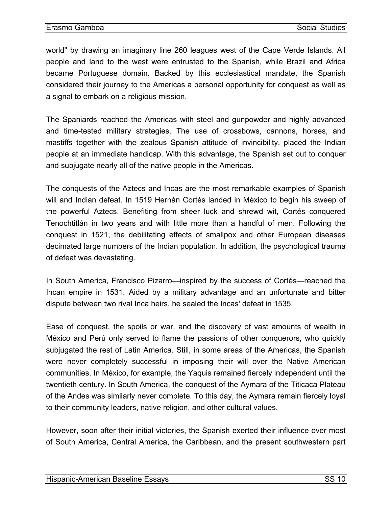<span id="page-11-0"></span>world" by drawing an imaginary line 260 leagues west of the Cape Verde Islands. All people and land to the west were entrusted to the Spanish, while Brazil and Africa became Portuguese domain. Backed by this ecclesiastical mandate, the Spanish considered their journey to the Americas a personal opportunity for conquest as well as a signal to embark on a religious mission.

The Spaniards reached the Americas with steel and gunpowder and highly advanced and time-tested military strategies. The use of crossbows, cannons, horses, and mastiffs together with the zealous Spanish attitude of invincibility, placed the Indian people at an immediate handicap. With this advantage, the Spanish set out to conquer and subjugate nearly all of the native people in the Americas.

The conquests of the Aztecs and Incas are the most remarkable examples of Spanish will and Indian defeat. In 1519 Hernán Cortés landed in México to begin his sweep of the powerful Aztecs. Benefiting from sheer luck and shrewd wit, Cortés conquered Tenochtitlán in two years and with little more than a handful of men. Following the conquest in 1521, the debilitating effects of smallpox and other European diseases decimated large numbers of the Indian population. In addition, the psychological trauma of defeat was devastating.

In South America, Francisco Pizarro—inspired by the success of Cortés—reached the Incan empire in 1531. Aided by a military advantage and an unfortunate and bitter dispute between two rival Inca heirs, he sealed the Incas' defeat in 1535.

Ease of conquest, the spoils or war, and the discovery of vast amounts of wealth in México and Perú only served to flame the passions of other conquerors, who quickly subjugated the rest of Latin America. Still, in some areas of the Americas, the Spanish were never completely successful in imposing their will over the Native American communities. In México, for example, the Yaquis remained fiercely independent until the twentieth century. In South America, the conquest of the Aymara of the Titicaca Plateau of the Andes was similarly never complete. To this day, the Aymara remain fiercely loyal to their community leaders, native religion, and other cultural values.

However, soon after their initial victories, the Spanish exerted their influence over most of South America, Central America, the Caribbean, and the present southwestern part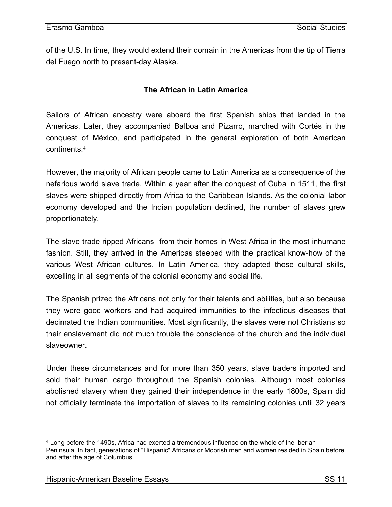<span id="page-12-0"></span>of the U.S. In time, they would extend their domain in the Americas from the tip of Tierra del Fuego north to present-day Alaska.

## **The African in Latin America**

Sailors of African ancestry were aboard the first Spanish ships that landed in the Americas. Later, they accompanied Balboa and Pizarro, marched with Cortés in the conquest of México, and participated in the general exploration of both American continents.<sup>4</sup>

However, the majority of African people came to Latin America as a consequence of the nefarious world slave trade. Within a year after the conquest of Cuba in 1511, the first slaves were shipped directly from Africa to the Caribbean Islands. As the colonial labor economy [de](#page-12-1)veloped and the Indian population declined, the number of slaves grew proportionately.

The slave trade ripped Africans from their homes in West Africa in the most inhumane fashion. Still, they arrived in the Americas steeped with the practical know-how of the various West African cultures. In Latin America, they adapted those cultural skills, excelling in all segments of the colonial economy and social life.

The Spanish prized the Africans not only for their talents and abilities, but also because they were good workers and had acquired immunities to the infectious diseases that decimated the Indian communities. Most significantly, the slaves were not Christians so their enslavement did not much trouble the conscience of the church and the individual slaveowner.

Under these circumstances and for more than 350 years, slave traders imported and sold their human cargo throughout the Spanish colonies. Although most colonies abolished slavery when they gained their independence in the early 1800s, Spain did not officially terminate the importation of slaves to its remaining colonies until 32 years

 $\overline{a}$ 

<span id="page-12-1"></span><sup>4</sup> Long before the 1490s, Africa had exerted a tremendous influence on the whole of the Iberian Peninsula. In fact, generations of "Hispanic" Africans or Moorish men and women resided in Spain before and after the age of Columbus.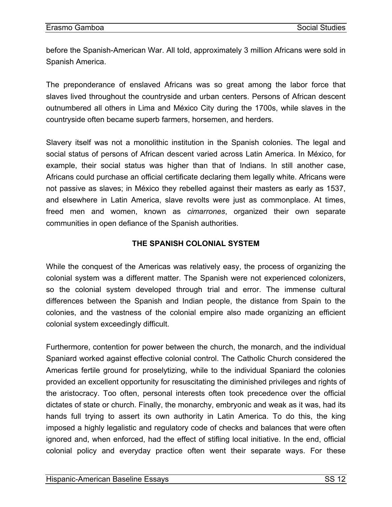<span id="page-13-0"></span>before the Spanish-American War. All told, approximately 3 million Africans were sold in Spanish America.

The preponderance of enslaved Africans was so great among the labor force that slaves lived throughout the countryside and urban centers. Persons of African descent outnumbered all others in Lima and México City during the 1700s, while slaves in the countryside often became superb farmers, horsemen, and herders.

Slavery itself was not a monolithic institution in the Spanish colonies. The legal and social status of persons of African descent varied across Latin America. In México, for example, their social status was higher than that of Indians. In still another case, Africans could purchase an official certificate declaring them legally white. Africans were not passive as slaves; in México they rebelled against their masters as early as 1537, and elsewhere in Latin America, slave revolts were just as commonplace. At times, freed men and women, known as *cimarrones*, organized their own separate communities in open defiance of the Spanish authorities.

## **THE SPANISH COLONIAL SYSTEM**

While the conquest of the Americas was relatively easy, the process of organizing the colonial system was a different matter. The Spanish were not experienced colonizers, so the colonial system developed through trial and error. The immense cultural differences between the Spanish and Indian people, the distance from Spain to the colonies, and the vastness of the colonial empire also made organizing an efficient colonial system exceedingly difficult.

Furthermore, contention for power between the church, the monarch, and the individual Spaniard worked against effective colonial control. The Catholic Church considered the Americas fertile ground for proselytizing, while to the individual Spaniard the colonies provided an excellent opportunity for resuscitating the diminished privileges and rights of the aristocracy. Too often, personal interests often took precedence over the official dictates of state or church. Finally, the monarchy, embryonic and weak as it was, had its hands full trying to assert its own authority in Latin America. To do this, the king imposed a highly legalistic and regulatory code of checks and balances that were often ignored and, when enforced, had the effect of stifling local initiative. In the end, official colonial policy and everyday practice often went their separate ways. For these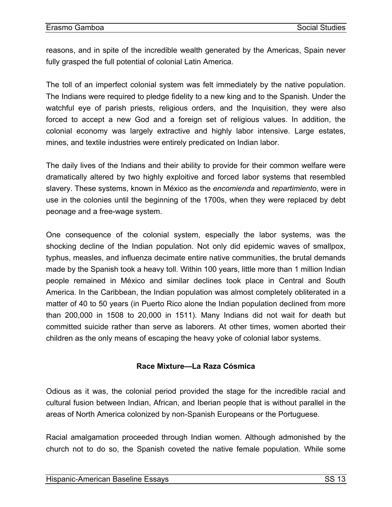<span id="page-14-0"></span>reasons, and in spite of the incredible wealth generated by the Americas, Spain never fully grasped the full potential of colonial Latin America.

The toll of an imperfect colonial system was felt immediately by the native population. The Indians were required to pledge fidelity to a new king and to the Spanish. Under the watchful eye of parish priests, religious orders, and the Inquisition, they were also forced to accept a new God and a foreign set of religious values. In addition, the colonial economy was largely extractive and highly labor intensive. Large estates, mines, and textile industries were entirely predicated on Indian labor.

The daily lives of the Indians and their ability to provide for their common welfare were dramatically altered by two highly exploitive and forced labor systems that resembled slavery. These systems, known in México as the *encomienda* and *repartimiento*, were in use in the colonies until the beginning of the 1700s, when they were replaced by debt peonage and a free-wage system.

One consequence of the colonial system, especially the labor systems, was the shocking decline of the Indian population. Not only did epidemic waves of smallpox, typhus, measles, and influenza decimate entire native communities, the brutal demands made by the Spanish took a heavy toll. Within 100 years, little more than 1 million Indian people remained in México and similar declines took place in Central and South America. In the Caribbean, the Indian population was almost completely obliterated in a matter of 40 to 50 years (in Puerto Rico alone the Indian population declined from more than 200,000 in 1508 to 20,000 in 1511). Many Indians did not wait for death but committed suicide rather than serve as laborers. At other times, women aborted their children as the only means of escaping the heavy yoke of colonial labor systems.

## **Race Mixture—La Raza Cósmica**

Odious as it was, the colonial period provided the stage for the incredible racial and cultural fusion between Indian, African, and Iberian people that is without parallel in the areas of North America colonized by non-Spanish Europeans or the Portuguese.

Racial amalgamation proceeded through Indian women. Although admonished by the church not to do so, the Spanish coveted the native female population. While some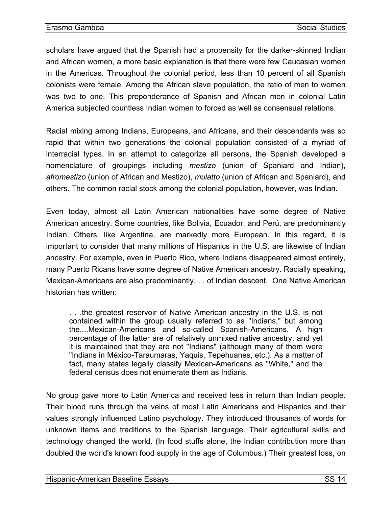scholars have argued that the Spanish had a propensity for the darker-skinned Indian and African women, a more basic explanation is that there were few Caucasian women in the Americas. Throughout the colonial period, less than 10 percent of all Spanish colonists were female. Among the African slave population, the ratio of men to women was two to one. This preponderance of Spanish and African men in colonial Latin America subjected countless Indian women to forced as well as consensual relations.

Racial mixing among Indians, Europeans, and Africans, and their descendants was so rapid that within two generations the colonial population consisted of a myriad of interracial types. In an attempt to categorize all persons, the Spanish developed a nomenclature of groupings including *mestizo* (union of Spaniard and Indian), *afromestizo* (union of African and Mestizo), *mulatto* (union of African and Spaniard), and others. The common racial stock among the colonial population, however, was Indian.

Even today, almost all Latin American nationalities have some degree of Native American ancestry. Some countries, like Bolivia, Ecuador, and Perú, are predominantly Indian. Others, like Argentina, are markedly more European. In this regard, it is important to consider that many millions of Hispanics in the U.S. are likewise of Indian ancestry. For example, even in Puerto Rico, where Indians disappeared almost entirely, many Puerto Ricans have some degree of Native American ancestry. Racially speaking, Mexican-Americans are also predominantly. . . of Indian descent. One Native American historian has written:

. . .the greatest reservoir of Native American ancestry in the U.S. is not contained within the group usually referred to as "Indians," but among the....Mexican-Americans and so-called Spanish-Americans. A high percentage of the latter are of relatively unmixed native ancestry, and yet it is maintained that they are not "Indians" (although many of them were "Indians in México-Taraumaras, Yaquis, Tepehuanes, etc.). As a matter of fact, many states legally classify Mexican-Americans as "White," and the federal census does not enumerate them as Indians.

No group gave more to Latin America and received less in return than Indian people. Their blood runs through the veins of most Latin Americans and Hispanics and their values strongly influenced Latino psychology. They introduced thousands of words for unknown items and traditions to the Spanish language. Their agricultural skills and technology changed the world. (In food stuffs alone, the Indian contribution more than doubled the world's known food supply in the age of Columbus.) Their greatest loss, on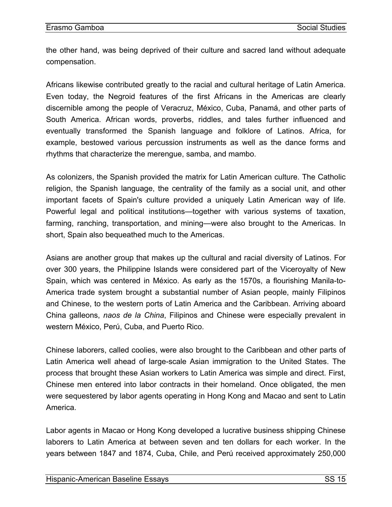the other hand, was being deprived of their culture and sacred land without adequate compensation.

Africans likewise contributed greatly to the racial and cultural heritage of Latin America. Even today, the Negroid features of the first Africans in the Americas are clearly discernible among the people of Veracruz, México, Cuba, Panamá, and other parts of South America. African words, proverbs, riddles, and tales further influenced and eventually transformed the Spanish language and folklore of Latinos. Africa, for example, bestowed various percussion instruments as well as the dance forms and rhythms that characterize the merengue, samba, and mambo.

As colonizers, the Spanish provided the matrix for Latin American culture. The Catholic religion, the Spanish language, the centrality of the family as a social unit, and other important facets of Spain's culture provided a uniquely Latin American way of life. Powerful legal and political institutions—together with various systems of taxation, farming, ranching, transportation, and mining—were also brought to the Americas. In short, Spain also bequeathed much to the Americas.

Asians are another group that makes up the cultural and racial diversity of Latinos. For over 300 years, the Philippine Islands were considered part of the Viceroyalty of New Spain, which was centered in México. As early as the 1570s, a flourishing Manila-to-America trade system brought a substantial number of Asian people, mainly Filipinos and Chinese, to the western ports of Latin America and the Caribbean. Arriving aboard China galleons, *naos de la China*, Filipinos and Chinese were especially prevalent in western México, Perú, Cuba, and Puerto Rico.

Chinese laborers, called coolies, were also brought to the Caribbean and other parts of Latin America well ahead of large-scale Asian immigration to the United States. The process that brought these Asian workers to Latin America was simple and direct. First, Chinese men entered into labor contracts in their homeland. Once obligated, the men were sequestered by labor agents operating in Hong Kong and Macao and sent to Latin America.

Labor agents in Macao or Hong Kong developed a lucrative business shipping Chinese laborers to Latin America at between seven and ten dollars for each worker. In the years between 1847 and 1874, Cuba, Chile, and Perú received approximately 250,000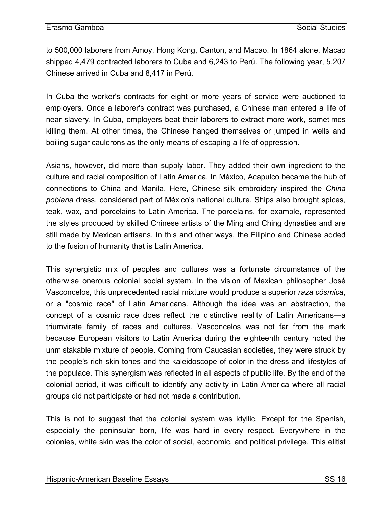to 500,000 laborers from Amoy, Hong Kong, Canton, and Macao. In 1864 alone, Macao shipped 4,479 contracted laborers to Cuba and 6,243 to Perú. The following year, 5,207 Chinese arrived in Cuba and 8,417 in Perú.

In Cuba the worker's contracts for eight or more years of service were auctioned to employers. Once a laborer's contract was purchased, a Chinese man entered a life of near slavery. In Cuba, employers beat their laborers to extract more work, sometimes killing them. At other times, the Chinese hanged themselves or jumped in wells and boiling sugar cauldrons as the only means of escaping a life of oppression.

Asians, however, did more than supply labor. They added their own ingredient to the culture and racial composition of Latin America. In México, Acapulco became the hub of connections to China and Manila. Here, Chinese silk embroidery inspired the *China poblana* dress, considered part of México's national culture. Ships also brought spices, teak, wax, and porcelains to Latin America. The porcelains, for example, represented the styles produced by skilled Chinese artists of the Ming and Ching dynasties and are still made by Mexican artisans. In this and other ways, the Filipino and Chinese added to the fusion of humanity that is Latin America.

This synergistic mix of peoples and cultures was a fortunate circumstance of the otherwise onerous colonial social system. In the vision of Mexican philosopher José Vasconcelos, this unprecedented racial mixture would produce a superior *raza cósmica*, or a "cosmic race" of Latin Americans. Although the idea was an abstraction, the concept of a cosmic race does reflect the distinctive reality of Latin Americans—a triumvirate family of races and cultures. Vasconcelos was not far from the mark because European visitors to Latin America during the eighteenth century noted the unmistakable mixture of people. Coming from Caucasian societies, they were struck by the people's rich skin tones and the kaleidoscope of color in the dress and lifestyles of the populace. This synergism was reflected in all aspects of public life. By the end of the colonial period, it was difficult to identify any activity in Latin America where all racial groups did not participate or had not made a contribution.

This is not to suggest that the colonial system was idyllic. Except for the Spanish, especially the peninsular born, life was hard in every respect. Everywhere in the colonies, white skin was the color of social, economic, and political privilege. This elitist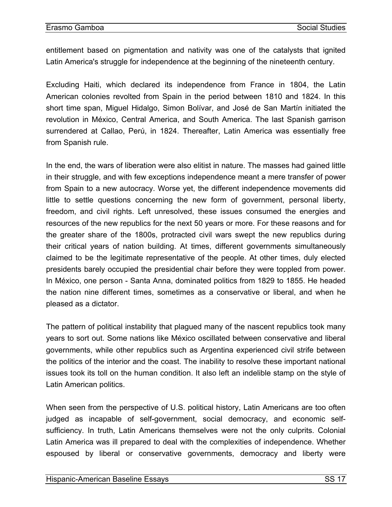entitlement based on pigmentation and nativity was one of the catalysts that ignited Latin America's struggle for independence at the beginning of the nineteenth century.

Excluding Haiti, which declared its independence from France in 1804, the Latin American colonies revolted from Spain in the period between 1810 and 1824. In this short time span, Miguel Hidalgo, Simon Bolívar, and José de San Martín initiated the revolution in México, Central America, and South America. The last Spanish garrison surrendered at Callao, Perú, in 1824. Thereafter, Latin America was essentially free from Spanish rule.

In the end, the wars of liberation were also elitist in nature. The masses had gained little in their struggle, and with few exceptions independence meant a mere transfer of power from Spain to a new autocracy. Worse yet, the different independence movements did little to settle questions concerning the new form of government, personal liberty, freedom, and civil rights. Left unresolved, these issues consumed the energies and resources of the new republics for the next 50 years or more. For these reasons and for the greater share of the 1800s, protracted civil wars swept the new republics during their critical years of nation building. At times, different governments simultaneously claimed to be the legitimate representative of the people. At other times, duly elected presidents barely occupied the presidential chair before they were toppled from power. In México, one person - Santa Anna, dominated politics from 1829 to 1855. He headed the nation nine different times, sometimes as a conservative or liberal, and when he pleased as a dictator.

The pattern of political instability that plagued many of the nascent republics took many years to sort out. Some nations like México oscillated between conservative and liberal governments, while other republics such as Argentina experienced civil strife between the politics of the interior and the coast. The inability to resolve these important national issues took its toll on the human condition. It also left an indelible stamp on the style of Latin American politics.

When seen from the perspective of U.S. political history, Latin Americans are too often judged as incapable of self-government, social democracy, and economic selfsufficiency. In truth, Latin Americans themselves were not the only culprits. Colonial Latin America was ill prepared to deal with the complexities of independence. Whether espoused by liberal or conservative governments, democracy and liberty were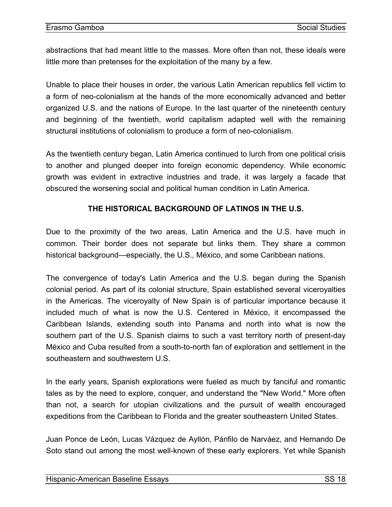<span id="page-19-0"></span>abstractions that had meant little to the masses. More often than not, these ideals were little more than pretenses for the exploitation of the many by a few.

Unable to place their houses in order, the various Latin American republics fell victim to a form of neo-colonialism at the hands of the more economically advanced and better organized U.S. and the nations of Europe. In the last quarter of the nineteenth century and beginning of the twentieth, world capitalism adapted well with the remaining structural institutions of colonialism to produce a form of neo-colonialism.

As the twentieth century began, Latin America continued to lurch from one political crisis to another and plunged deeper into foreign economic dependency. While economic growth was evident in extractive industries and trade, it was largely a facade that obscured the worsening social and political human condition in Latin America.

## **THE HISTORICAL BACKGROUND OF LATINOS IN THE U.S.**

Due to the proximity of the two areas, Latin America and the U.S. have much in common. Their border does not separate but links them. They share a common historical background—especially, the U.S., México, and some Caribbean nations.

The convergence of today's Latin America and the U.S. began during the Spanish colonial period. As part of its colonial structure, Spain established several viceroyalties in the Americas. The viceroyalty of New Spain is of particular importance because it included much of what is now the U.S. Centered in México, it encompassed the Caribbean Islands, extending south into Panama and north into what is now the southern part of the U.S. Spanish claims to such a vast territory north of present-day México and Cuba resulted from a south-to-north fan of exploration and settlement in the southeastern and southwestern U.S.

In the early years, Spanish explorations were fueled as much by fanciful and romantic tales as by the need to explore, conquer, and understand the "New World." More often than not, a search for utopian civilizations and the pursuit of wealth encouraged expeditions from the Caribbean to Florida and the greater southeastern United States.

Juan Ponce de León, Lucas Vázquez de Ayllón, Pánfilo de Narváez, and Hernando De Soto stand out among the most well-known of these early explorers. Yet while Spanish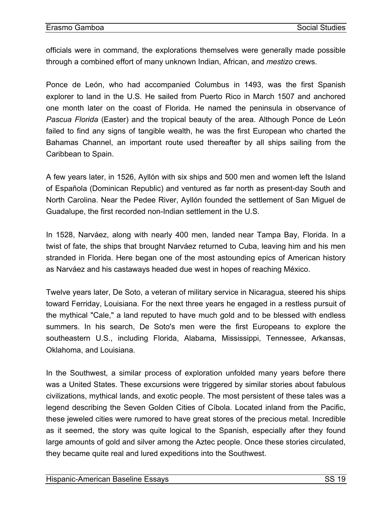officials were in command, the explorations themselves were generally made possible through a combined effort of many unknown Indian, African, and *mestizo* crews.

Ponce de León, who had accompanied Columbus in 1493, was the first Spanish explorer to land in the U.S. He sailed from Puerto Rico in March 1507 and anchored one month later on the coast of Florida. He named the peninsula in observance of *Pascua Florida* (Easter) and the tropical beauty of the area. Although Ponce de León failed to find any signs of tangible wealth, he was the first European who charted the Bahamas Channel, an important route used thereafter by all ships sailing from the Caribbean to Spain.

A few years later, in 1526, Ayllón with six ships and 500 men and women left the Island of Española (Dominican Republic) and ventured as far north as present-day South and North Carolina. Near the Pedee River, Ayllón founded the settlement of San Miguel de Guadalupe, the first recorded non-Indian settlement in the U.S.

In 1528, Narváez, along with nearly 400 men, landed near Tampa Bay, Florida. In a twist of fate, the ships that brought Narváez returned to Cuba, leaving him and his men stranded in Florida. Here began one of the most astounding epics of American history as Narváez and his castaways headed due west in hopes of reaching México.

Twelve years later, De Soto, a veteran of military service in Nicaragua, steered his ships toward Ferriday, Louisiana. For the next three years he engaged in a restless pursuit of the mythical "Cale," a land reputed to have much gold and to be blessed with endless summers. In his search, De Soto's men were the first Europeans to explore the southeastern U.S., including Florida, Alabama, Mississippi, Tennessee, Arkansas, Oklahoma, and Louisiana.

In the Southwest, a similar process of exploration unfolded many years before there was a United States. These excursions were triggered by similar stories about fabulous civilizations, mythical lands, and exotic people. The most persistent of these tales was a legend describing the Seven Golden Cities of Cíbola. Located inland from the Pacific, these jeweled cities were rumored to have great stores of the precious metal. Incredible as it seemed, the story was quite logical to the Spanish, especially after they found large amounts of gold and silver among the Aztec people. Once these stories circulated, they became quite real and lured expeditions into the Southwest.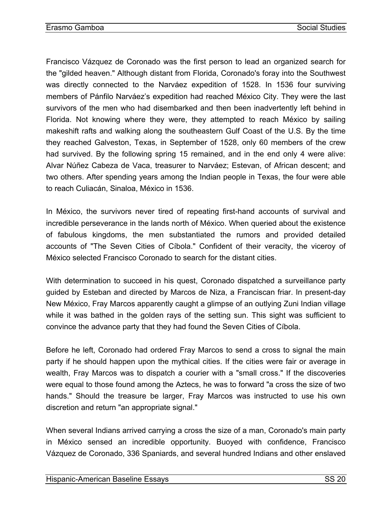Francisco Vázquez de Coronado was the first person to lead an organized search for the "gilded heaven." Although distant from Florida, Coronado's foray into the Southwest was directly connected to the Narváez expedition of 1528. In 1536 four surviving members of Pánfilo Narváez's expedition had reached México City. They were the last survivors of the men who had disembarked and then been inadvertently left behind in Florida. Not knowing where they were, they attempted to reach México by sailing makeshift rafts and walking along the southeastern Gulf Coast of the U.S. By the time they reached Galveston, Texas, in September of 1528, only 60 members of the crew had survived. By the following spring 15 remained, and in the end only 4 were alive: Alvar Núñez Cabeza de Vaca, treasurer to Narváez; Estevan, of African descent; and two others. After spending years among the Indian people in Texas, the four were able to reach Culiacán, Sinaloa, México in 1536.

In México, the survivors never tired of repeating first-hand accounts of survival and incredible perseverance in the lands north of México. When queried about the existence of fabulous kingdoms, the men substantiated the rumors and provided detailed accounts of "The Seven Cities of Cíbola." Confident of their veracity, the viceroy of México selected Francisco Coronado to search for the distant cities.

With determination to succeed in his quest, Coronado dispatched a surveillance party guided by Esteban and directed by Marcos de Niza, a Franciscan friar. In present-day New México, Fray Marcos apparently caught a glimpse of an outlying Zuni Indian village while it was bathed in the golden rays of the setting sun. This sight was sufficient to convince the advance party that they had found the Seven Cities of Cíbola.

Before he left, Coronado had ordered Fray Marcos to send a cross to signal the main party if he should happen upon the mythical cities. If the cities were fair or average in wealth, Fray Marcos was to dispatch a courier with a "small cross." If the discoveries were equal to those found among the Aztecs, he was to forward "a cross the size of two hands." Should the treasure be larger, Fray Marcos was instructed to use his own discretion and return "an appropriate signal."

When several Indians arrived carrying a cross the size of a man, Coronado's main party in México sensed an incredible opportunity. Buoyed with confidence, Francisco Vázquez de Coronado, 336 Spaniards, and several hundred Indians and other enslaved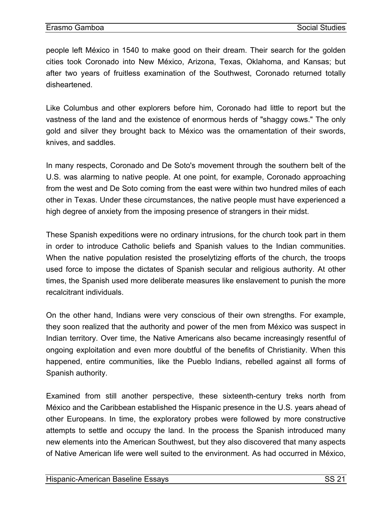people left México in 1540 to make good on their dream. Their search for the golden cities took Coronado into New México, Arizona, Texas, Oklahoma, and Kansas; but after two years of fruitless examination of the Southwest, Coronado returned totally disheartened.

Like Columbus and other explorers before him, Coronado had little to report but the vastness of the land and the existence of enormous herds of "shaggy cows." The only gold and silver they brought back to México was the ornamentation of their swords, knives, and saddles.

In many respects, Coronado and De Soto's movement through the southern belt of the U.S. was alarming to native people. At one point, for example, Coronado approaching from the west and De Soto coming from the east were within two hundred miles of each other in Texas. Under these circumstances, the native people must have experienced a high degree of anxiety from the imposing presence of strangers in their midst.

These Spanish expeditions were no ordinary intrusions, for the church took part in them in order to introduce Catholic beliefs and Spanish values to the Indian communities. When the native population resisted the proselytizing efforts of the church, the troops used force to impose the dictates of Spanish secular and religious authority. At other times, the Spanish used more deliberate measures like enslavement to punish the more recalcitrant individuals.

On the other hand, Indians were very conscious of their own strengths. For example, they soon realized that the authority and power of the men from México was suspect in Indian territory. Over time, the Native Americans also became increasingly resentful of ongoing exploitation and even more doubtful of the benefits of Christianity. When this happened, entire communities, like the Pueblo Indians, rebelled against all forms of Spanish authority.

Examined from still another perspective, these sixteenth-century treks north from México and the Caribbean established the Hispanic presence in the U.S. years ahead of other Europeans. In time, the exploratory probes were followed by more constructive attempts to settle and occupy the land. In the process the Spanish introduced many new elements into the American Southwest, but they also discovered that many aspects of Native American life were well suited to the environment. As had occurred in México,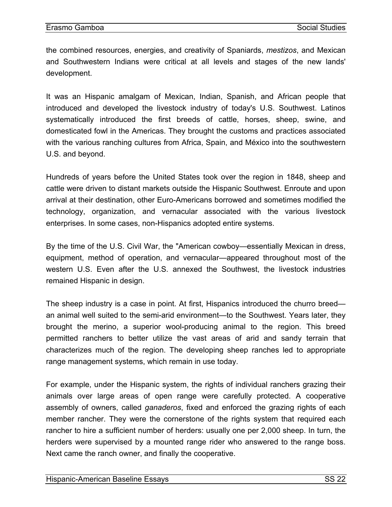the combined resources, energies, and creativity of Spaniards, *mestizos*, and Mexican and Southwestern Indians were critical at all levels and stages of the new lands' development.

It was an Hispanic amalgam of Mexican, Indian, Spanish, and African people that introduced and developed the livestock industry of today's U.S. Southwest. Latinos systematically introduced the first breeds of cattle, horses, sheep, swine, and domesticated fowl in the Americas. They brought the customs and practices associated with the various ranching cultures from Africa, Spain, and México into the southwestern U.S. and beyond.

Hundreds of years before the United States took over the region in 1848, sheep and cattle were driven to distant markets outside the Hispanic Southwest. Enroute and upon arrival at their destination, other Euro-Americans borrowed and sometimes modified the technology, organization, and vernacular associated with the various livestock enterprises. In some cases, non-Hispanics adopted entire systems.

By the time of the U.S. Civil War, the "American cowboy—essentially Mexican in dress, equipment, method of operation, and vernacular—appeared throughout most of the western U.S. Even after the U.S. annexed the Southwest, the livestock industries remained Hispanic in design.

The sheep industry is a case in point. At first, Hispanics introduced the churro breed an animal well suited to the semi-arid environment—to the Southwest. Years later, they brought the merino, a superior wool-producing animal to the region. This breed permitted ranchers to better utilize the vast areas of arid and sandy terrain that characterizes much of the region. The developing sheep ranches led to appropriate range management systems, which remain in use today.

For example, under the Hispanic system, the rights of individual ranchers grazing their animals over large areas of open range were carefully protected. A cooperative assembly of owners, called *ganaderos*, fixed and enforced the grazing rights of each member rancher. They were the cornerstone of the rights system that required each rancher to hire a sufficient number of herders: usually one per 2,000 sheep. In turn, the herders were supervised by a mounted range rider who answered to the range boss. Next came the ranch owner, and finally the cooperative.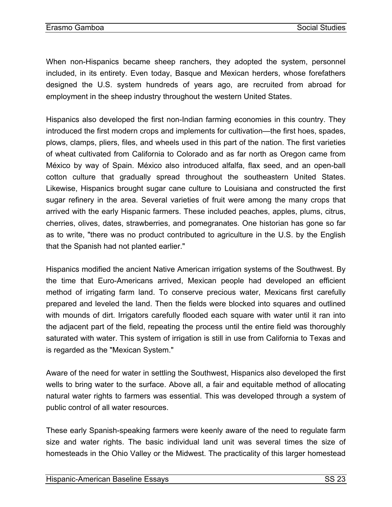When non-Hispanics became sheep ranchers, they adopted the system, personnel included, in its entirety. Even today, Basque and Mexican herders, whose forefathers designed the U.S. system hundreds of years ago, are recruited from abroad for employment in the sheep industry throughout the western United States.

Hispanics also developed the first non-Indian farming economies in this country. They introduced the first modern crops and implements for cultivation—the first hoes, spades, plows, clamps, pliers, files, and wheels used in this part of the nation. The first varieties of wheat cultivated from California to Colorado and as far north as Oregon came from México by way of Spain. México also introduced alfalfa, flax seed, and an open-ball cotton culture that gradually spread throughout the southeastern United States. Likewise, Hispanics brought sugar cane culture to Louisiana and constructed the first sugar refinery in the area. Several varieties of fruit were among the many crops that arrived with the early Hispanic farmers. These included peaches, apples, plums, citrus, cherries, olives, dates, strawberries, and pomegranates. One historian has gone so far as to write, "there was no product contributed to agriculture in the U.S. by the English that the Spanish had not planted earlier."

Hispanics modified the ancient Native American irrigation systems of the Southwest. By the time that Euro-Americans arrived, Mexican people had developed an efficient method of irrigating farm land. To conserve precious water, Mexicans first carefully prepared and leveled the land. Then the fields were blocked into squares and outlined with mounds of dirt. Irrigators carefully flooded each square with water until it ran into the adjacent part of the field, repeating the process until the entire field was thoroughly saturated with water. This system of irrigation is still in use from California to Texas and is regarded as the "Mexican System."

Aware of the need for water in settling the Southwest, Hispanics also developed the first wells to bring water to the surface. Above all, a fair and equitable method of allocating natural water rights to farmers was essential. This was developed through a system of public control of all water resources.

These early Spanish-speaking farmers were keenly aware of the need to regulate farm size and water rights. The basic individual land unit was several times the size of homesteads in the Ohio Valley or the Midwest. The practicality of this larger homestead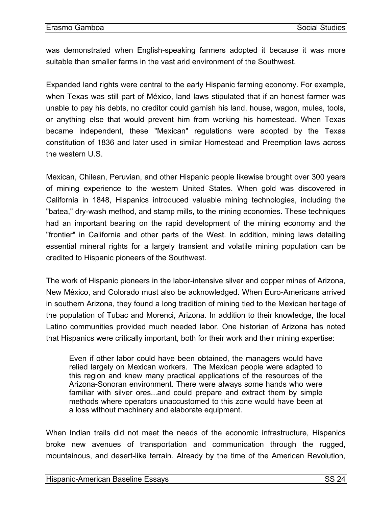was demonstrated when English-speaking farmers adopted it because it was more suitable than smaller farms in the vast arid environment of the Southwest.

Expanded land rights were central to the early Hispanic farming economy. For example, when Texas was still part of México, land laws stipulated that if an honest farmer was unable to pay his debts, no creditor could garnish his land, house, wagon, mules, tools, or anything else that would prevent him from working his homestead. When Texas became independent, these "Mexican" regulations were adopted by the Texas constitution of 1836 and later used in similar Homestead and Preemption laws across the western U.S.

Mexican, Chilean, Peruvian, and other Hispanic people likewise brought over 300 years of mining experience to the western United States. When gold was discovered in California in 1848, Hispanics introduced valuable mining technologies, including the "batea," dry-wash method, and stamp mills, to the mining economies. These techniques had an important bearing on the rapid development of the mining economy and the "frontier" in California and other parts of the West. In addition, mining laws detailing essential mineral rights for a largely transient and volatile mining population can be credited to Hispanic pioneers of the Southwest.

The work of Hispanic pioneers in the labor-intensive silver and copper mines of Arizona, New México, and Colorado must also be acknowledged. When Euro-Americans arrived in southern Arizona, they found a long tradition of mining tied to the Mexican heritage of the population of Tubac and Morenci, Arizona. In addition to their knowledge, the local Latino communities provided much needed labor. One historian of Arizona has noted that Hispanics were critically important, both for their work and their mining expertise:

Even if other labor could have been obtained, the managers would have relied largely on Mexican workers. The Mexican people were adapted to this region and knew many practical applications of the resources of the Arizona-Sonoran environment. There were always some hands who were familiar with silver ores...and could prepare and extract them by simple methods where operators unaccustomed to this zone would have been at a loss without machinery and elaborate equipment.

When Indian trails did not meet the needs of the economic infrastructure, Hispanics broke new avenues of transportation and communication through the rugged, mountainous, and desert-like terrain. Already by the time of the American Revolution,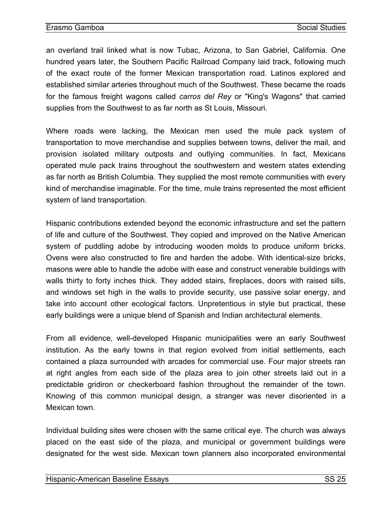an overland trail linked what is now Tubac, Arizona, to San Gabriel, California. One hundred years later, the Southern Pacific Railroad Company laid track, following much of the exact route of the former Mexican transportation road. Latinos explored and established similar arteries throughout much of the Southwest. These became the roads for the famous freight wagons called *carros del Rey* or "King's Wagons" that carried supplies from the Southwest to as far north as St Louis, Missouri.

Where roads were lacking, the Mexican men used the mule pack system of transportation to move merchandise and supplies between towns, deliver the mail, and provision isolated military outposts and outlying communities. In fact, Mexicans operated mule pack trains throughout the southwestern and western states extending as far north as British Columbia. They supplied the most remote communities with every kind of merchandise imaginable. For the time, mule trains represented the most efficient system of land transportation.

Hispanic contributions extended beyond the economic infrastructure and set the pattern of life and culture of the Southwest. They copied and improved on the Native American system of puddling adobe by introducing wooden molds to produce uniform bricks. Ovens were also constructed to fire and harden the adobe. With identical-size bricks, masons were able to handle the adobe with ease and construct venerable buildings with walls thirty to forty inches thick. They added stairs, fireplaces, doors with raised sills, and windows set high in the walls to provide security, use passive solar energy, and take into account other ecological factors. Unpretentious in style but practical, these early buildings were a unique blend of Spanish and Indian architectural elements.

From all evidence, well-developed Hispanic municipalities were an early Southwest institution. As the early towns in that region evolved from initial settlements, each contained a plaza surrounded with arcades for commercial use. Four major streets ran at right angles from each side of the plaza area to join other streets laid out in a predictable gridiron or checkerboard fashion throughout the remainder of the town. Knowing of this common municipal design, a stranger was never disoriented in a Mexican town.

Individual building sites were chosen with the same critical eye. The church was always placed on the east side of the plaza, and municipal or government buildings were designated for the west side. Mexican town planners also incorporated environmental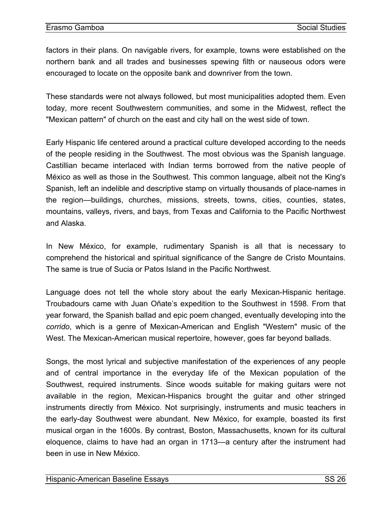factors in their plans. On navigable rivers, for example, towns were established on the northern bank and all trades and businesses spewing filth or nauseous odors were encouraged to locate on the opposite bank and downriver from the town.

These standards were not always followed, but most municipalities adopted them. Even today, more recent Southwestern communities, and some in the Midwest, reflect the "Mexican pattern" of church on the east and city hall on the west side of town.

Early Hispanic life centered around a practical culture developed according to the needs of the people residing in the Southwest. The most obvious was the Spanish language. Castillian became interlaced with Indian terms borrowed from the native people of México as well as those in the Southwest. This common language, albeit not the King's Spanish, left an indelible and descriptive stamp on virtually thousands of place-names in the region—buildings, churches, missions, streets, towns, cities, counties, states, mountains, valleys, rivers, and bays, from Texas and California to the Pacific Northwest and Alaska.

In New México, for example, rudimentary Spanish is all that is necessary to comprehend the historical and spiritual significance of the Sangre de Cristo Mountains. The same is true of Sucia or Patos Island in the Pacific Northwest.

Language does not tell the whole story about the early Mexican-Hispanic heritage. Troubadours came with Juan Oñate's expedition to the Southwest in 1598. From that year forward, the Spanish ballad and epic poem changed, eventually developing into the *corrido*, which is a genre of Mexican-American and English "Western" music of the West. The Mexican-American musical repertoire, however, goes far beyond ballads.

Songs, the most lyrical and subjective manifestation of the experiences of any people and of central importance in the everyday life of the Mexican population of the Southwest, required instruments. Since woods suitable for making guitars were not available in the region, Mexican-Hispanics brought the guitar and other stringed instruments directly from México. Not surprisingly, instruments and music teachers in the early-day Southwest were abundant. New México, for example, boasted its first musical organ in the 1600s. By contrast, Boston, Massachusetts, known for its cultural eloquence, claims to have had an organ in 1713—a century after the instrument had been in use in New México.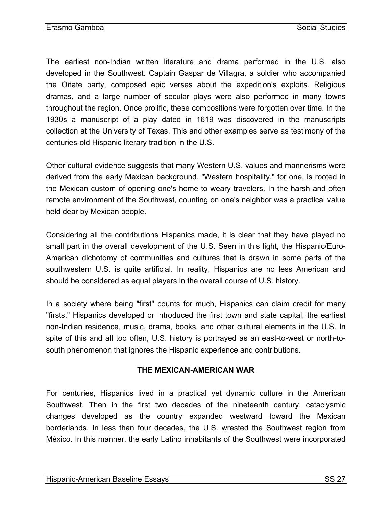The earliest non-Indian written literature and drama performed in the U.S. also developed in the Southwest. Captain Gaspar de Villagra, a soldier who accompanied the Oñate party, composed epic verses about the expedition's exploits. Religious dramas, and a large number of secular plays were also performed in many towns throughout the region. Once prolific, these compositions were forgotten over time. In the 1930s a manuscript of a play dated in 1619 was discovered in the manuscripts collection at the University of Texas. This and other examples serve as testimony of the centuries-old Hispanic literary tradition in the U.S.

Other cultural evidence suggests that many Western U.S. values and mannerisms were derived from the early Mexican background. "Western hospitality," for one, is rooted in the Mexican custom of opening one's home to weary travelers. In the harsh and often remote environment of the Southwest, counting on one's neighbor was a practical value held dear by Mexican people.

Considering all the contributions Hispanics made, it is clear that they have played no small part in the overall development of the U.S. Seen in this light, the Hispanic/Euro-American dichotomy of communities and cultures that is drawn in some parts of the southwestern U.S. is quite artificial. In reality, Hispanics are no less American and should be considered as equal players in the overall course of U.S. history.

In a society where being "first" counts for much, Hispanics can claim credit for many "firsts." Hispanics developed or introduced the first town and state capital, the earliest non-Indian residence, music, drama, books, and other cultural elements in the U.S. In spite of this and all too often, U.S. history is portrayed as an east-to-west or north-tosouth phenomenon that ignores the Hispanic experience and contributions.

#### **THE MEXICAN-AMERICAN WAR**

For centuries, Hispanics lived in a practical yet dynamic culture in the American Southwest. Then in the first two decades of the nineteenth century, cataclysmic changes developed as the country expanded westward toward the Mexican borderlands. In less than four decades, the U.S. wrested the Southwest region from México. In this manner, the early Latino inhabitants of the Southwest were incorporated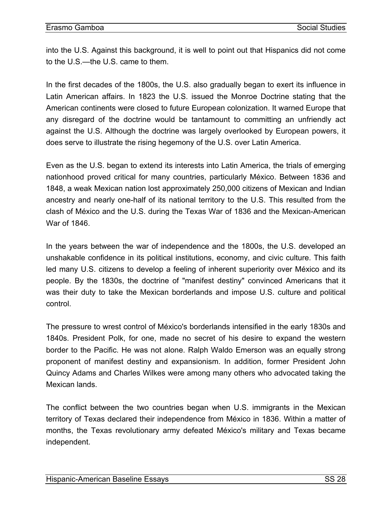<span id="page-29-0"></span>into the U.S. Against this background, it is well to point out that Hispanics did not come to the U.S.—the U.S. came to them.

In the first decades of the 1800s, the U.S. also gradually began to exert its influence in Latin American affairs. In 1823 the U.S. issued the Monroe Doctrine stating that the American continents were closed to future European colonization. It warned Europe that any disregard of the doctrine would be tantamount to committing an unfriendly act against the U.S. Although the doctrine was largely overlooked by European powers, it does serve to illustrate the rising hegemony of the U.S. over Latin America.

Even as the U.S. began to extend its interests into Latin America, the trials of emerging nationhood proved critical for many countries, particularly México. Between 1836 and 1848, a weak Mexican nation lost approximately 250,000 citizens of Mexican and Indian ancestry and nearly one-half of its national territory to the U.S. This resulted from the clash of México and the U.S. during the Texas War of 1836 and the Mexican-American War of 1846

In the years between the war of independence and the 1800s, the U.S. developed an unshakable confidence in its political institutions, economy, and civic culture. This faith led many U.S. citizens to develop a feeling of inherent superiority over México and its people. By the 1830s, the doctrine of "manifest destiny" convinced Americans that it was their duty to take the Mexican borderlands and impose U.S. culture and political control.

The pressure to wrest control of México's borderlands intensified in the early 1830s and 1840s. President Polk, for one, made no secret of his desire to expand the western border to the Pacific. He was not alone. Ralph Waldo Emerson was an equally strong proponent of manifest destiny and expansionism. In addition, former President John Quincy Adams and Charles Wilkes were among many others who advocated taking the Mexican lands.

The conflict between the two countries began when U.S. immigrants in the Mexican territory of Texas declared their independence from México in 1836. Within a matter of months, the Texas revolutionary army defeated México's military and Texas became independent.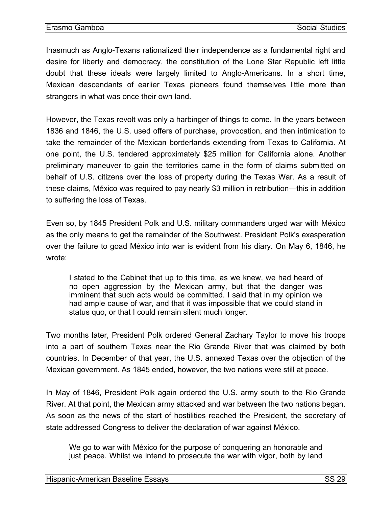Inasmuch as Anglo-Texans rationalized their independence as a fundamental right and desire for liberty and democracy, the constitution of the Lone Star Republic left little doubt that these ideals were largely limited to Anglo-Americans. In a short time, Mexican descendants of earlier Texas pioneers found themselves little more than strangers in what was once their own land.

However, the Texas revolt was only a harbinger of things to come. In the years between 1836 and 1846, the U.S. used offers of purchase, provocation, and then intimidation to take the remainder of the Mexican borderlands extending from Texas to California. At one point, the U.S. tendered approximately \$25 million for California alone. Another preliminary maneuver to gain the territories came in the form of claims submitted on behalf of U.S. citizens over the loss of property during the Texas War. As a result of these claims, México was required to pay nearly \$3 million in retribution—this in addition to suffering the loss of Texas.

Even so, by 1845 President Polk and U.S. military commanders urged war with México as the only means to get the remainder of the Southwest. President Polk's exasperation over the failure to goad México into war is evident from his diary. On May 6, 1846, he wrote:

I stated to the Cabinet that up to this time, as we knew, we had heard of no open aggression by the Mexican army, but that the danger was imminent that such acts would be committed. I said that in my opinion we had ample cause of war, and that it was impossible that we could stand in status quo, or that I could remain silent much longer.

Two months later, President Polk ordered General Zachary Taylor to move his troops into a part of southern Texas near the Rio Grande River that was claimed by both countries. In December of that year, the U.S. annexed Texas over the objection of the Mexican government. As 1845 ended, however, the two nations were still at peace.

In May of 1846, President Polk again ordered the U.S. army south to the Rio Grande River. At that point, the Mexican army attacked and war between the two nations began. As soon as the news of the start of hostilities reached the President, the secretary of state addressed Congress to deliver the declaration of war against México.

We go to war with México for the purpose of conquering an honorable and just peace. Whilst we intend to prosecute the war with vigor, both by land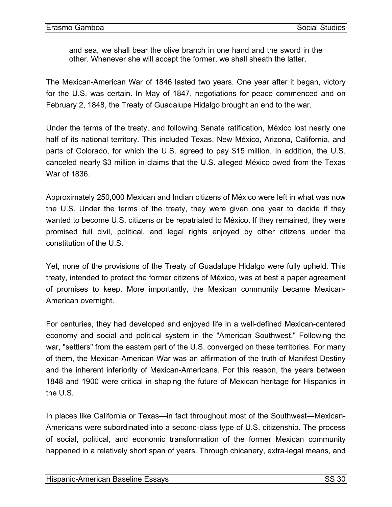and sea, we shall bear the olive branch in one hand and the sword in the other. Whenever she will accept the former, we shall sheath the latter.

The Mexican-American War of 1846 lasted two years. One year after it began, victory for the U.S. was certain. In May of 1847, negotiations for peace commenced and on February 2, 1848, the Treaty of Guadalupe Hidalgo brought an end to the war.

Under the terms of the treaty, and following Senate ratification, México lost nearly one half of its national territory. This included Texas, New México, Arizona, California, and parts of Colorado, for which the U.S. agreed to pay \$15 million. In addition, the U.S. canceled nearly \$3 million in claims that the U.S. alleged México owed from the Texas War of 1836.

Approximately 250,000 Mexican and Indian citizens of México were left in what was now the U.S. Under the terms of the treaty, they were given one year to decide if they wanted to become U.S. citizens or be repatriated to México. If they remained, they were promised full civil, political, and legal rights enjoyed by other citizens under the constitution of the U.S.

Yet, none of the provisions of the Treaty of Guadalupe Hidalgo were fully upheld. This treaty, intended to protect the former citizens of México, was at best a paper agreement of promises to keep. More importantly, the Mexican community became Mexican-American overnight.

For centuries, they had developed and enjoyed life in a well-defined Mexican-centered economy and social and political system in the "American Southwest." Following the war, "settlers" from the eastern part of the U.S. converged on these territories. For many of them, the Mexican-American War was an affirmation of the truth of Manifest Destiny and the inherent inferiority of Mexican-Americans. For this reason, the years between 1848 and 1900 were critical in shaping the future of Mexican heritage for Hispanics in the U.S.

In places like California or Texas—in fact throughout most of the Southwest—Mexican-Americans were subordinated into a second-class type of U.S. citizenship. The process of social, political, and economic transformation of the former Mexican community happened in a relatively short span of years. Through chicanery, extra-legal means, and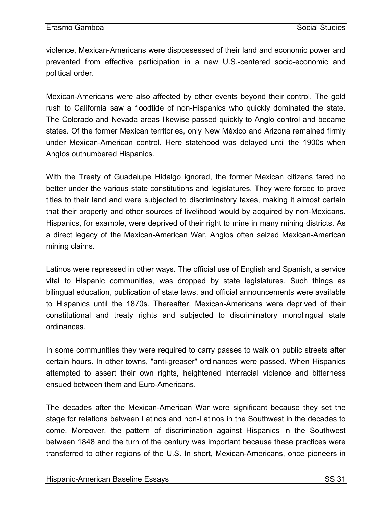violence, Mexican-Americans were dispossessed of their land and economic power and prevented from effective participation in a new U.S.-centered socio-economic and political order.

Mexican-Americans were also affected by other events beyond their control. The gold rush to California saw a floodtide of non-Hispanics who quickly dominated the state. The Colorado and Nevada areas likewise passed quickly to Anglo control and became states. Of the former Mexican territories, only New México and Arizona remained firmly under Mexican-American control. Here statehood was delayed until the 1900s when Anglos outnumbered Hispanics.

With the Treaty of Guadalupe Hidalgo ignored, the former Mexican citizens fared no better under the various state constitutions and legislatures. They were forced to prove titles to their land and were subjected to discriminatory taxes, making it almost certain that their property and other sources of livelihood would by acquired by non-Mexicans. Hispanics, for example, were deprived of their right to mine in many mining districts. As a direct legacy of the Mexican-American War, Anglos often seized Mexican-American mining claims.

Latinos were repressed in other ways. The official use of English and Spanish, a service vital to Hispanic communities, was dropped by state legislatures. Such things as bilingual education, publication of state laws, and official announcements were available to Hispanics until the 1870s. Thereafter, Mexican-Americans were deprived of their constitutional and treaty rights and subjected to discriminatory monolingual state ordinances.

In some communities they were required to carry passes to walk on public streets after certain hours. In other towns, "anti-greaser" ordinances were passed. When Hispanics attempted to assert their own rights, heightened interracial violence and bitterness ensued between them and Euro-Americans.

The decades after the Mexican-American War were significant because they set the stage for relations between Latinos and non-Latinos in the Southwest in the decades to come. Moreover, the pattern of discrimination against Hispanics in the Southwest between 1848 and the turn of the century was important because these practices were transferred to other regions of the U.S. In short, Mexican-Americans, once pioneers in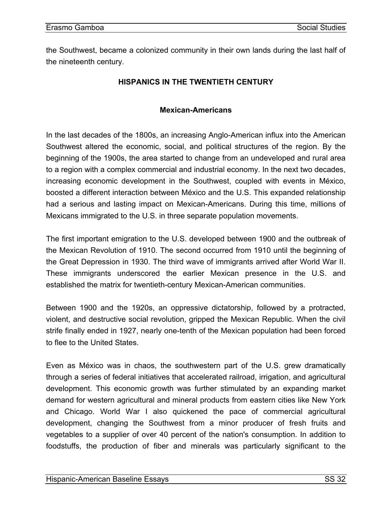<span id="page-33-0"></span>the Southwest, became a colonized community in their own lands during the last half of the nineteenth century.

## **HISPANICS IN THE TWENTIETH CENTURY**

## **Mexican-Americans**

In the last decades of the 1800s, an increasing Anglo-American influx into the American Southwest altered the economic, social, and political structures of the region. By the beginning of the 1900s, the area started to change from an undeveloped and rural area to a region with a complex commercial and industrial economy. In the next two decades, increasing economic development in the Southwest, coupled with events in México, boosted a different interaction between México and the U.S. This expanded relationship had a serious and lasting impact on Mexican-Americans. During this time, millions of Mexicans immigrated to the U.S. in three separate population movements.

The first important emigration to the U.S. developed between 1900 and the outbreak of the Mexican Revolution of 1910. The second occurred from 1910 until the beginning of the Great Depression in 1930. The third wave of immigrants arrived after World War II. These immigrants underscored the earlier Mexican presence in the U.S. and established the matrix for twentieth-century Mexican-American communities.

Between 1900 and the 1920s, an oppressive dictatorship, followed by a protracted, violent, and destructive social revolution, gripped the Mexican Republic. When the civil strife finally ended in 1927, nearly one-tenth of the Mexican population had been forced to flee to the United States.

Even as México was in chaos, the southwestern part of the U.S. grew dramatically through a series of federal initiatives that accelerated railroad, irrigation, and agricultural development. This economic growth was further stimulated by an expanding market demand for western agricultural and mineral products from eastern cities like New York and Chicago. World War I also quickened the pace of commercial agricultural development, changing the Southwest from a minor producer of fresh fruits and vegetables to a supplier of over 40 percent of the nation's consumption. In addition to foodstuffs, the production of fiber and minerals was particularly significant to the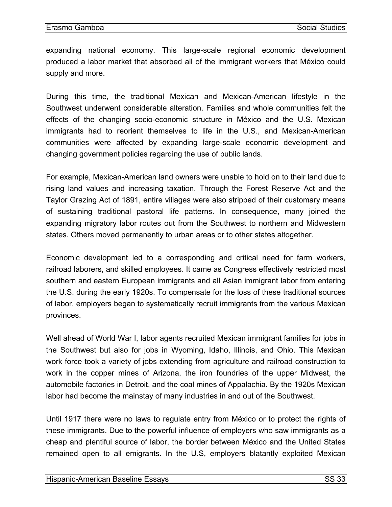expanding national economy. This large-scale regional economic development produced a labor market that absorbed all of the immigrant workers that México could supply and more.

During this time, the traditional Mexican and Mexican-American lifestyle in the Southwest underwent considerable alteration. Families and whole communities felt the effects of the changing socio-economic structure in México and the U.S. Mexican immigrants had to reorient themselves to life in the U.S., and Mexican-American communities were affected by expanding large-scale economic development and changing government policies regarding the use of public lands.

For example, Mexican-American land owners were unable to hold on to their land due to rising land values and increasing taxation. Through the Forest Reserve Act and the Taylor Grazing Act of 1891, entire villages were also stripped of their customary means of sustaining traditional pastoral life patterns. In consequence, many joined the expanding migratory labor routes out from the Southwest to northern and Midwestern states. Others moved permanently to urban areas or to other states altogether.

Economic development led to a corresponding and critical need for farm workers, railroad laborers, and skilled employees. It came as Congress effectively restricted most southern and eastern European immigrants and all Asian immigrant labor from entering the U.S. during the early 1920s. To compensate for the loss of these traditional sources of labor, employers began to systematically recruit immigrants from the various Mexican provinces.

Well ahead of World War I, labor agents recruited Mexican immigrant families for jobs in the Southwest but also for jobs in Wyoming, Idaho, Illinois, and Ohio. This Mexican work force took a variety of jobs extending from agriculture and railroad construction to work in the copper mines of Arizona, the iron foundries of the upper Midwest, the automobile factories in Detroit, and the coal mines of Appalachia. By the 1920s Mexican labor had become the mainstay of many industries in and out of the Southwest.

Until 1917 there were no laws to regulate entry from México or to protect the rights of these immigrants. Due to the powerful influence of employers who saw immigrants as a cheap and plentiful source of labor, the border between México and the United States remained open to all emigrants. In the U.S, employers blatantly exploited Mexican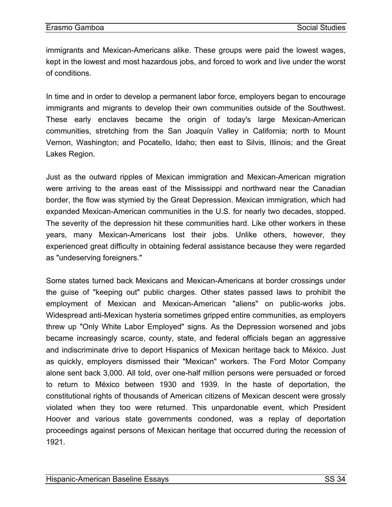immigrants and Mexican-Americans alike. These groups were paid the lowest wages, kept in the lowest and most hazardous jobs, and forced to work and live under the worst of conditions.

In time and in order to develop a permanent labor force, employers began to encourage immigrants and migrants to develop their own communities outside of the Southwest. These early enclaves became the origin of today's large Mexican-American communities, stretching from the San Joaquín Valley in California; north to Mount Vernon, Washington; and Pocatello, Idaho; then east to Silvis, Illinois; and the Great Lakes Region.

Just as the outward ripples of Mexican immigration and Mexican-American migration were arriving to the areas east of the Mississippi and northward near the Canadian border, the flow was stymied by the Great Depression. Mexican immigration, which had expanded Mexican-American communities in the U.S. for nearly two decades, stopped. The severity of the depression hit these communities hard. Like other workers in these years, many Mexican-Americans lost their jobs. Unlike others, however, they experienced great difficulty in obtaining federal assistance because they were regarded as "undeserving foreigners."

Some states turned back Mexicans and Mexican-Americans at border crossings under the guise of "keeping out" public charges. Other states passed laws to prohibit the employment of Mexican and Mexican-American "aliens" on public-works jobs. Widespread anti-Mexican hysteria sometimes gripped entire communities, as employers threw up "Only White Labor Employed" signs. As the Depression worsened and jobs became increasingly scarce, county, state, and federal officials began an aggressive and indiscriminate drive to deport Hispanics of Mexican heritage back to México. Just as quickly, employers dismissed their "Mexican" workers. The Ford Motor Company alone sent back 3,000. All told, over one-half million persons were persuaded or forced to return to México between 1930 and 1939. In the haste of deportation, the constitutional rights of thousands of American citizens of Mexican descent were grossly violated when they too were returned. This unpardonable event, which President Hoover and various state governments condoned, was a replay of deportation proceedings against persons of Mexican heritage that occurred during the recession of 1921.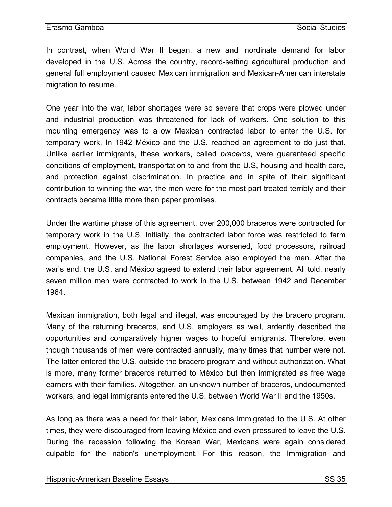In contrast, when World War II began, a new and inordinate demand for labor developed in the U.S. Across the country, record-setting agricultural production and general full employment caused Mexican immigration and Mexican-American interstate migration to resume.

One year into the war, labor shortages were so severe that crops were plowed under and industrial production was threatened for lack of workers. One solution to this mounting emergency was to allow Mexican contracted labor to enter the U.S. for temporary work. In 1942 México and the U.S. reached an agreement to do just that. Unlike earlier immigrants, these workers, called *braceros*, were guaranteed specific conditions of employment, transportation to and from the U.S, housing and health care, and protection against discrimination. In practice and in spite of their significant contribution to winning the war, the men were for the most part treated terribly and their contracts became little more than paper promises.

Under the wartime phase of this agreement, over 200,000 braceros were contracted for temporary work in the U.S. Initially, the contracted labor force was restricted to farm employment. However, as the labor shortages worsened, food processors, railroad companies, and the U.S. National Forest Service also employed the men. After the war's end, the U.S. and México agreed to extend their labor agreement. All told, nearly seven million men were contracted to work in the U.S. between 1942 and December 1964.

Mexican immigration, both legal and illegal, was encouraged by the bracero program. Many of the returning braceros, and U.S. employers as well, ardently described the opportunities and comparatively higher wages to hopeful emigrants. Therefore, even though thousands of men were contracted annually, many times that number were not. The latter entered the U.S. outside the bracero program and without authorization. What is more, many former braceros returned to México but then immigrated as free wage earners with their families. Altogether, an unknown number of braceros, undocumented workers, and legal immigrants entered the U.S. between World War II and the 1950s.

As long as there was a need for their labor, Mexicans immigrated to the U.S. At other times, they were discouraged from leaving México and even pressured to leave the U.S. During the recession following the Korean War, Mexicans were again considered culpable for the nation's unemployment. For this reason, the Immigration and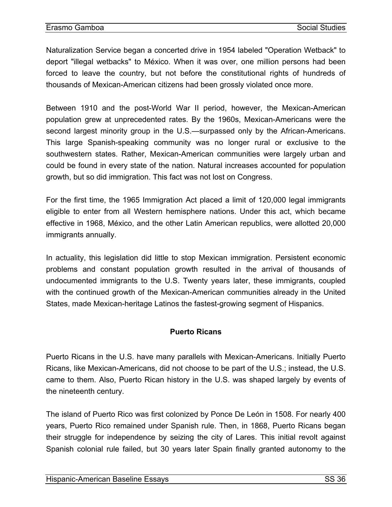Naturalization Service began a concerted drive in 1954 labeled "Operation Wetback" to deport "illegal wetbacks" to México. When it was over, one million persons had been forced to leave the country, but not before the constitutional rights of hundreds of thousands of Mexican-American citizens had been grossly violated once more.

Between 1910 and the post-World War II period, however, the Mexican-American population grew at unprecedented rates. By the 1960s, Mexican-Americans were the second largest minority group in the U.S.—surpassed only by the African-Americans. This large Spanish-speaking community was no longer rural or exclusive to the southwestern states. Rather, Mexican-American communities were largely urban and could be found in every state of the nation. Natural increases accounted for population growth, but so did immigration. This fact was not lost on Congress.

For the first time, the 1965 Immigration Act placed a limit of 120,000 legal immigrants eligible to enter from all Western hemisphere nations. Under this act, which became effective in 1968, México, and the other Latin American republics, were allotted 20,000 immigrants annually.

In actuality, this legislation did little to stop Mexican immigration. Persistent economic problems and constant population growth resulted in the arrival of thousands of undocumented immigrants to the U.S. Twenty years later, these immigrants, coupled with the continued growth of the Mexican-American communities already in the United States, made Mexican-heritage Latinos the fastest-growing segment of Hispanics.

# **Puerto Ricans**

Puerto Ricans in the U.S. have many parallels with Mexican-Americans. Initially Puerto Ricans, like Mexican-Americans, did not choose to be part of the U.S.; instead, the U.S. came to them. Also, Puerto Rican history in the U.S. was shaped largely by events of the nineteenth century.

The island of Puerto Rico was first colonized by Ponce De León in 1508. For nearly 400 years, Puerto Rico remained under Spanish rule. Then, in 1868, Puerto Ricans began their struggle for independence by seizing the city of Lares. This initial revolt against Spanish colonial rule failed, but 30 years later Spain finally granted autonomy to the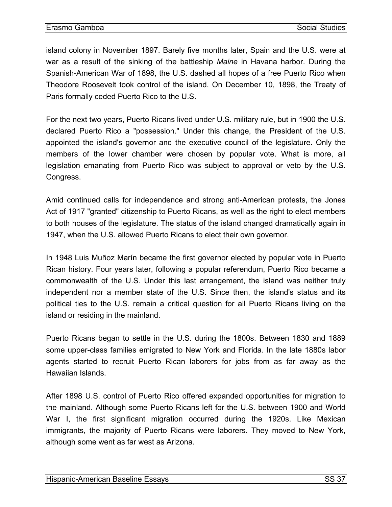<span id="page-38-0"></span>island colony in November 1897. Barely five months later, Spain and the U.S. were at war as a result of the sinking of the battleship *Maine* in Havana harbor. During the Spanish-American War of 1898, the U.S. dashed all hopes of a free Puerto Rico when Theodore Roosevelt took control of the island. On December 10, 1898, the Treaty of Paris formally ceded Puerto Rico to the U.S.

For the next two years, Puerto Ricans lived under U.S. military rule, but in 1900 the U.S. declared Puerto Rico a "possession." Under this change, the President of the U.S. appointed the island's governor and the executive council of the legislature. Only the members of the lower chamber were chosen by popular vote. What is more, all legislation emanating from Puerto Rico was subject to approval or veto by the U.S. Congress.

Amid continued calls for independence and strong anti-American protests, the Jones Act of 1917 "granted" citizenship to Puerto Ricans, as well as the right to elect members to both houses of the legislature. The status of the island changed dramatically again in 1947, when the U.S. allowed Puerto Ricans to elect their own governor.

In 1948 Luis Muñoz Marín became the first governor elected by popular vote in Puerto Rican history. Four years later, following a popular referendum, Puerto Rico became a commonwealth of the U.S. Under this last arrangement, the island was neither truly independent nor a member state of the U.S. Since then, the island's status and its political ties to the U.S. remain a critical question for all Puerto Ricans living on the island or residing in the mainland.

Puerto Ricans began to settle in the U.S. during the 1800s. Between 1830 and 1889 some upper-class families emigrated to New York and Florida. In the late 1880s labor agents started to recruit Puerto Rican laborers for jobs from as far away as the Hawaiian Islands.

After 1898 U.S. control of Puerto Rico offered expanded opportunities for migration to the mainland. Although some Puerto Ricans left for the U.S. between 1900 and World War I, the first significant migration occurred during the 1920s. Like Mexican immigrants, the majority of Puerto Ricans were laborers. They moved to New York, although some went as far west as Arizona.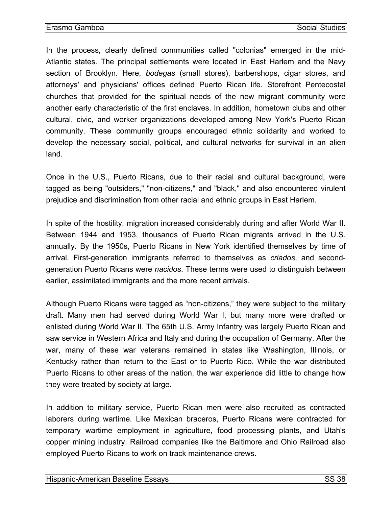In the process, clearly defined communities called "colonias" emerged in the mid-Atlantic states. The principal settlements were located in East Harlem and the Navy section of Brooklyn. Here, *bodegas* (small stores), barbershops, cigar stores, and attorneys' and physicians' offices defined Puerto Rican life. Storefront Pentecostal churches that provided for the spiritual needs of the new migrant community were another early characteristic of the first enclaves. In addition, hometown clubs and other cultural, civic, and worker organizations developed among New York's Puerto Rican community. These community groups encouraged ethnic solidarity and worked to develop the necessary social, political, and cultural networks for survival in an alien land.

Once in the U.S., Puerto Ricans, due to their racial and cultural background, were tagged as being "outsiders," "non-citizens," and "black," and also encountered virulent prejudice and discrimination from other racial and ethnic groups in East Harlem.

In spite of the hostility, migration increased considerably during and after World War II. Between 1944 and 1953, thousands of Puerto Rican migrants arrived in the U.S. annually. By the 1950s, Puerto Ricans in New York identified themselves by time of arrival. First-generation immigrants referred to themselves as *criados*, and secondgeneration Puerto Ricans were *nacidos*. These terms were used to distinguish between earlier, assimilated immigrants and the more recent arrivals.

Although Puerto Ricans were tagged as "non-citizens," they were subject to the military draft. Many men had served during World War I, but many more were drafted or enlisted during World War II. The 65th U.S. Army Infantry was largely Puerto Rican and saw service in Western Africa and Italy and during the occupation of Germany. After the war, many of these war veterans remained in states like Washington, Illinois, or Kentucky rather than return to the East or to Puerto Rico. While the war distributed Puerto Ricans to other areas of the nation, the war experience did little to change how they were treated by society at large.

In addition to military service, Puerto Rican men were also recruited as contracted laborers during wartime. Like Mexican braceros, Puerto Ricans were contracted for temporary wartime employment in agriculture, food processing plants, and Utah's copper mining industry. Railroad companies like the Baltimore and Ohio Railroad also employed Puerto Ricans to work on track maintenance crews.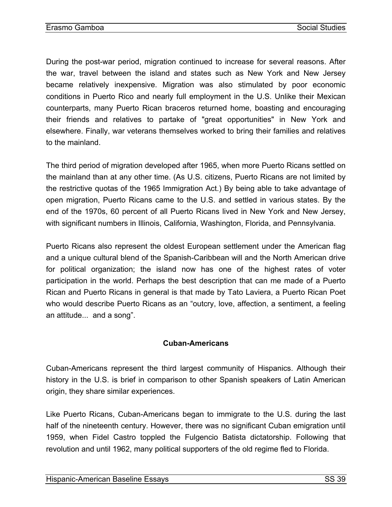During the post-war period, migration continued to increase for several reasons. After the war, travel between the island and states such as New York and New Jersey became relatively inexpensive. Migration was also stimulated by poor economic conditions in Puerto Rico and nearly full employment in the U.S. Unlike their Mexican counterparts, many Puerto Rican braceros returned home, boasting and encouraging their friends and relatives to partake of "great opportunities" in New York and elsewhere. Finally, war veterans themselves worked to bring their families and relatives to the mainland.

The third period of migration developed after 1965, when more Puerto Ricans settled on the mainland than at any other time. (As U.S. citizens, Puerto Ricans are not limited by the restrictive quotas of the 1965 Immigration Act.) By being able to take advantage of open migration, Puerto Ricans came to the U.S. and settled in various states. By the end of the 1970s, 60 percent of all Puerto Ricans lived in New York and New Jersey, with significant numbers in Illinois, California, Washington, Florida, and Pennsylvania.

Puerto Ricans also represent the oldest European settlement under the American flag and a unique cultural blend of the Spanish-Caribbean will and the North American drive for political organization; the island now has one of the highest rates of voter participation in the world. Perhaps the best description that can me made of a Puerto Rican and Puerto Ricans in general is that made by Tato Laviera, a Puerto Rican Poet who would describe Puerto Ricans as an "outcry, love, affection, a sentiment, a feeling an attitude... and a song".

## **Cuban-Americans**

Cuban-Americans represent the third largest community of Hispanics. Although their history in the U.S. is brief in comparison to other Spanish speakers of Latin American origin, they share similar experiences.

Like Puerto Ricans, Cuban-Americans began to immigrate to the U.S. during the last half of the nineteenth century. However, there was no significant Cuban emigration until 1959, when Fidel Castro toppled the Fulgencio Batista dictatorship. Following that revolution and until 1962, many political supporters of the old regime fled to Florida.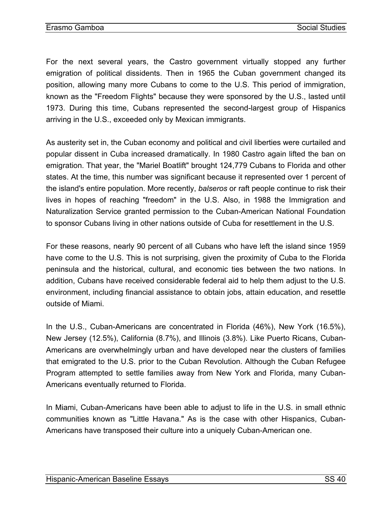<span id="page-41-0"></span>For the next several years, the Castro government virtually stopped any further emigration of political dissidents. Then in 1965 the Cuban government changed its position, allowing many more Cubans to come to the U.S. This period of immigration, known as the "Freedom Flights" because they were sponsored by the U.S., lasted until 1973. During this time, Cubans represented the second-largest group of Hispanics arriving in the U.S., exceeded only by Mexican immigrants.

As austerity set in, the Cuban economy and political and civil liberties were curtailed and popular dissent in Cuba increased dramatically. In 1980 Castro again lifted the ban on emigration. That year, the "Mariel Boatlift" brought 124,779 Cubans to Florida and other states. At the time, this number was significant because it represented over 1 percent of the island's entire population. More recently, *balseros* or raft people continue to risk their lives in hopes of reaching "freedom" in the U.S. Also, in 1988 the Immigration and Naturalization Service granted permission to the Cuban-American National Foundation to sponsor Cubans living in other nations outside of Cuba for resettlement in the U.S.

For these reasons, nearly 90 percent of all Cubans who have left the island since 1959 have come to the U.S. This is not surprising, given the proximity of Cuba to the Florida peninsula and the historical, cultural, and economic ties between the two nations. In addition, Cubans have received considerable federal aid to help them adjust to the U.S. environment, including financial assistance to obtain jobs, attain education, and resettle outside of Miami.

In the U.S., Cuban-Americans are concentrated in Florida (46%), New York (16.5%), New Jersey (12.5%), California (8.7%), and Illinois (3.8%). Like Puerto Ricans, Cuban-Americans are overwhelmingly urban and have developed near the clusters of families that emigrated to the U.S. prior to the Cuban Revolution. Although the Cuban Refugee Program attempted to settle families away from New York and Florida, many Cuban-Americans eventually returned to Florida.

In Miami, Cuban-Americans have been able to adjust to life in the U.S. in small ethnic communities known as "Little Havana." As is the case with other Hispanics, Cuban-Americans have transposed their culture into a uniquely Cuban-American one.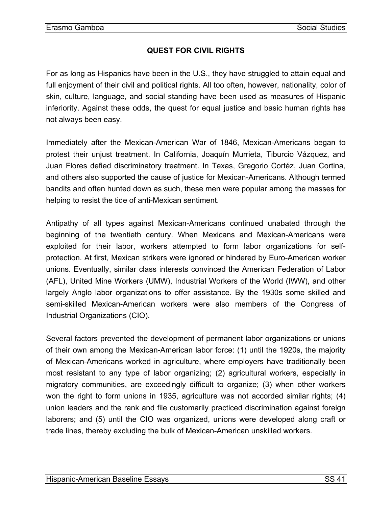# **QUEST FOR CIVIL RIGHTS**

<span id="page-42-0"></span>For as long as Hispanics have been in the U.S., they have struggled to attain equal and full enjoyment of their civil and political rights. All too often, however, nationality, color of skin, culture, language, and social standing have been used as measures of Hispanic inferiority. Against these odds, the quest for equal justice and basic human rights has not always been easy.

Immediately after the Mexican-American War of 1846, Mexican-Americans began to protest their unjust treatment. In California, Joaquín Murrieta, Tiburcio Vázquez, and Juan Flores defied discriminatory treatment. In Texas, Gregorio Cortéz, Juan Cortina, and others also supported the cause of justice for Mexican-Americans. Although termed bandits and often hunted down as such, these men were popular among the masses for helping to resist the tide of anti-Mexican sentiment.

Antipathy of all types against Mexican-Americans continued unabated through the beginning of the twentieth century. When Mexicans and Mexican-Americans were exploited for their labor, workers attempted to form labor organizations for selfprotection. At first, Mexican strikers were ignored or hindered by Euro-American worker unions. Eventually, similar class interests convinced the American Federation of Labor (AFL), United Mine Workers (UMW), Industrial Workers of the World (IWW), and other largely Anglo labor organizations to offer assistance. By the 1930s some skilled and semi-skilled Mexican-American workers were also members of the Congress of Industrial Organizations (CIO).

Several factors prevented the development of permanent labor organizations or unions of their own among the Mexican-American labor force: (1) until the 1920s, the majority of Mexican-Americans worked in agriculture, where employers have traditionally been most resistant to any type of labor organizing; (2) agricultural workers, especially in migratory communities, are exceedingly difficult to organize; (3) when other workers won the right to form unions in 1935, agriculture was not accorded similar rights; (4) union leaders and the rank and file customarily practiced discrimination against foreign laborers; and (5) until the CIO was organized, unions were developed along craft or trade lines, thereby excluding the bulk of Mexican-American unskilled workers.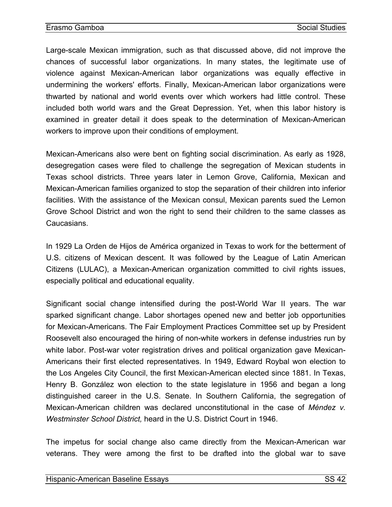Large-scale Mexican immigration, such as that discussed above, did not improve the chances of successful labor organizations. In many states, the legitimate use of violence against Mexican-American labor organizations was equally effective in undermining the workers' efforts. Finally, Mexican-American labor organizations were thwarted by national and world events over which workers had little control. These included both world wars and the Great Depression. Yet, when this labor history is examined in greater detail it does speak to the determination of Mexican-American workers to improve upon their conditions of employment.

Mexican-Americans also were bent on fighting social discrimination. As early as 1928, desegregation cases were filed to challenge the segregation of Mexican students in Texas school districts. Three years later in Lemon Grove, California, Mexican and Mexican-American families organized to stop the separation of their children into inferior facilities. With the assistance of the Mexican consul, Mexican parents sued the Lemon Grove School District and won the right to send their children to the same classes as **Caucasians** 

In 1929 La Orden de Hijos de América organized in Texas to work for the betterment of U.S. citizens of Mexican descent. It was followed by the League of Latin American Citizens (LULAC), a Mexican-American organization committed to civil rights issues, especially political and educational equality.

Significant social change intensified during the post-World War II years. The war sparked significant change. Labor shortages opened new and better job opportunities for Mexican-Americans. The Fair Employment Practices Committee set up by President Roosevelt also encouraged the hiring of non-white workers in defense industries run by white labor. Post-war voter registration drives and political organization gave Mexican-Americans their first elected representatives. In 1949, Edward Roybal won election to the Los Angeles City Council, the first Mexican-American elected since 1881. In Texas, Henry B. González won election to the state legislature in 1956 and began a long distinguished career in the U.S. Senate. In Southern California, the segregation of Mexican-American children was declared unconstitutional in the case of *Méndez v. Westminster School District,* heard in the U.S. District Court in 1946.

The impetus for social change also came directly from the Mexican-American war veterans. They were among the first to be drafted into the global war to save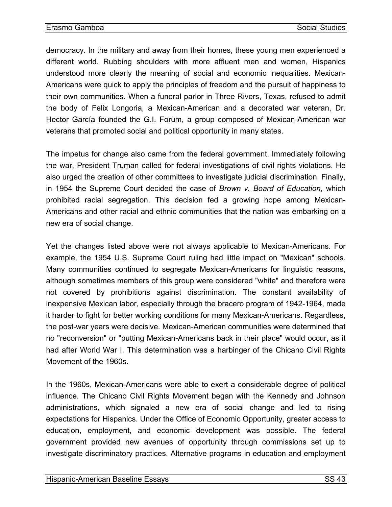democracy. In the military and away from their homes, these young men experienced a different world. Rubbing shoulders with more affluent men and women, Hispanics understood more clearly the meaning of social and economic inequalities. Mexican-Americans were quick to apply the principles of freedom and the pursuit of happiness to their own communities. When a funeral parlor in Three Rivers, Texas, refused to admit the body of Felix Longoria, a Mexican-American and a decorated war veteran, Dr. Hector García founded the G.I. Forum, a group composed of Mexican-American war veterans that promoted social and political opportunity in many states.

The impetus for change also came from the federal government. Immediately following the war, President Truman called for federal investigations of civil rights violations. He also urged the creation of other committees to investigate judicial discrimination. Finally, in 1954 the Supreme Court decided the case of *Brown v. Board of Education,* which prohibited racial segregation. This decision fed a growing hope among Mexican-Americans and other racial and ethnic communities that the nation was embarking on a new era of social change.

Yet the changes listed above were not always applicable to Mexican-Americans. For example, the 1954 U.S. Supreme Court ruling had little impact on "Mexican" schools. Many communities continued to segregate Mexican-Americans for linguistic reasons, although sometimes members of this group were considered "white" and therefore were not covered by prohibitions against discrimination. The constant availability of inexpensive Mexican labor, especially through the bracero program of 1942-1964, made it harder to fight for better working conditions for many Mexican-Americans. Regardless, the post-war years were decisive. Mexican-American communities were determined that no "reconversion" or "putting Mexican-Americans back in their place" would occur, as it had after World War I. This determination was a harbinger of the Chicano Civil Rights Movement of the 1960s.

In the 1960s, Mexican-Americans were able to exert a considerable degree of political influence. The Chicano Civil Rights Movement began with the Kennedy and Johnson administrations, which signaled a new era of social change and led to rising expectations for Hispanics. Under the Office of Economic Opportunity, greater access to education, employment, and economic development was possible. The federal government provided new avenues of opportunity through commissions set up to investigate discriminatory practices. Alternative programs in education and employment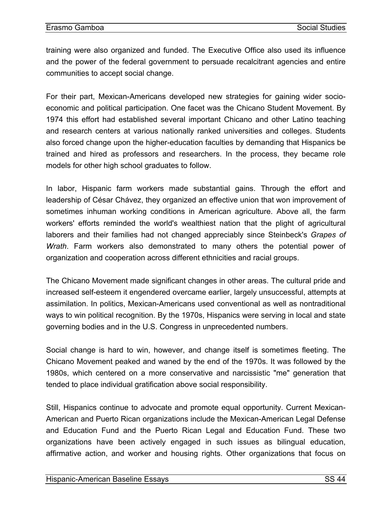training were also organized and funded. The Executive Office also used its influence and the power of the federal government to persuade recalcitrant agencies and entire communities to accept social change.

For their part, Mexican-Americans developed new strategies for gaining wider socioeconomic and political participation. One facet was the Chicano Student Movement. By 1974 this effort had established several important Chicano and other Latino teaching and research centers at various nationally ranked universities and colleges. Students also forced change upon the higher-education faculties by demanding that Hispanics be trained and hired as professors and researchers. In the process, they became role models for other high school graduates to follow.

In labor, Hispanic farm workers made substantial gains. Through the effort and leadership of César Chávez, they organized an effective union that won improvement of sometimes inhuman working conditions in American agriculture. Above all, the farm workers' efforts reminded the world's wealthiest nation that the plight of agricultural laborers and their families had not changed appreciably since Steinbeck's *Grapes of Wrath*. Farm workers also demonstrated to many others the potential power of organization and cooperation across different ethnicities and racial groups.

The Chicano Movement made significant changes in other areas. The cultural pride and increased self-esteem it engendered overcame earlier, largely unsuccessful, attempts at assimilation. In politics, Mexican-Americans used conventional as well as nontraditional ways to win political recognition. By the 1970s, Hispanics were serving in local and state governing bodies and in the U.S. Congress in unprecedented numbers.

Social change is hard to win, however, and change itself is sometimes fleeting. The Chicano Movement peaked and waned by the end of the 1970s. It was followed by the 1980s, which centered on a more conservative and narcissistic "me" generation that tended to place individual gratification above social responsibility.

Still, Hispanics continue to advocate and promote equal opportunity. Current Mexican-American and Puerto Rican organizations include the Mexican-American Legal Defense and Education Fund and the Puerto Rican Legal and Education Fund. These two organizations have been actively engaged in such issues as bilingual education, affirmative action, and worker and housing rights. Other organizations that focus on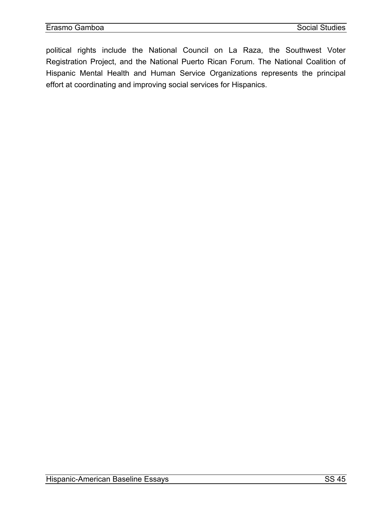political rights include the National Council on La Raza, the Southwest Voter Registration Project, and the National Puerto Rican Forum. The National Coalition of Hispanic Mental Health and Human Service Organizations represents the principal effort at coordinating and improving social services for Hispanics.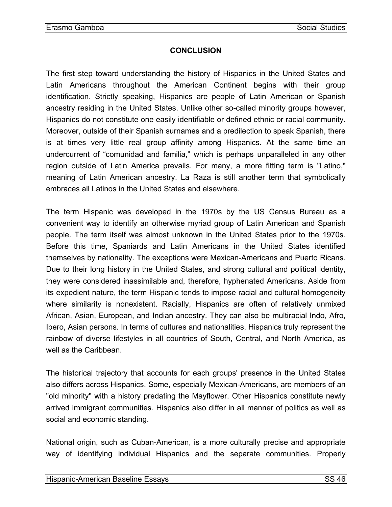## **CONCLUSION**

<span id="page-47-0"></span>The first step toward understanding the history of Hispanics in the United States and Latin Americans throughout the American Continent begins with their group identification. Strictly speaking, Hispanics are people of Latin American or Spanish ancestry residing in the United States. Unlike other so-called minority groups however, Hispanics do not constitute one easily identifiable or defined ethnic or racial community. Moreover, outside of their Spanish surnames and a predilection to speak Spanish, there is at times very little real group affinity among Hispanics. At the same time an undercurrent of "comunidad and familia," which is perhaps unparalleled in any other region outside of Latin America prevails. For many, a more fitting term is "Latino," meaning of Latin American ancestry. La Raza is still another term that symbolically embraces all Latinos in the United States and elsewhere.

The term Hispanic was developed in the 1970s by the US Census Bureau as a convenient way to identify an otherwise myriad group of Latin American and Spanish people. The term itself was almost unknown in the United States prior to the 1970s. Before this time, Spaniards and Latin Americans in the United States identified themselves by nationality. The exceptions were Mexican-Americans and Puerto Ricans. Due to their long history in the United States, and strong cultural and political identity, they were considered inassimilable and, therefore, hyphenated Americans. Aside from its expedient nature, the term Hispanic tends to impose racial and cultural homogeneity where similarity is nonexistent. Racially, Hispanics are often of relatively unmixed African, Asian, European, and Indian ancestry. They can also be multiracial Indo, Afro, Ibero, Asian persons. In terms of cultures and nationalities, Hispanics truly represent the rainbow of diverse lifestyles in all countries of South, Central, and North America, as well as the Caribbean.

The historical trajectory that accounts for each groups' presence in the United States also differs across Hispanics. Some, especially Mexican-Americans, are members of an "old minority" with a history predating the Mayflower. Other Hispanics constitute newly arrived immigrant communities. Hispanics also differ in all manner of politics as well as social and economic standing.

National origin, such as Cuban-American, is a more culturally precise and appropriate way of identifying individual Hispanics and the separate communities. Properly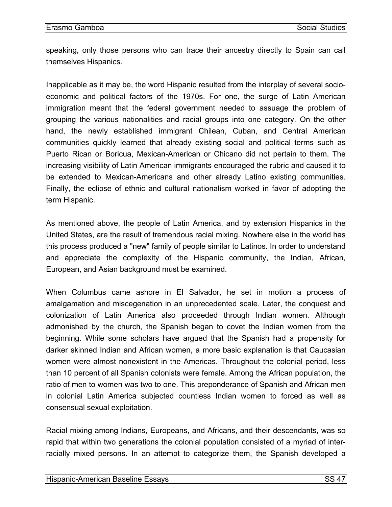speaking, only those persons who can trace their ancestry directly to Spain can call themselves Hispanics.

Inapplicable as it may be, the word Hispanic resulted from the interplay of several socioeconomic and political factors of the 1970s. For one, the surge of Latin American immigration meant that the federal government needed to assuage the problem of grouping the various nationalities and racial groups into one category. On the other hand, the newly established immigrant Chilean, Cuban, and Central American communities quickly learned that already existing social and political terms such as Puerto Rican or Boricua, Mexican-American or Chicano did not pertain to them. The increasing visibility of Latin American immigrants encouraged the rubric and caused it to be extended to Mexican-Americans and other already Latino existing communities. Finally, the eclipse of ethnic and cultural nationalism worked in favor of adopting the term Hispanic.

As mentioned above, the people of Latin America, and by extension Hispanics in the United States, are the result of tremendous racial mixing. Nowhere else in the world has this process produced a "new" family of people similar to Latinos. In order to understand and appreciate the complexity of the Hispanic community, the Indian, African, European, and Asian background must be examined.

When Columbus came ashore in El Salvador, he set in motion a process of amalgamation and miscegenation in an unprecedented scale. Later, the conquest and colonization of Latin America also proceeded through Indian women. Although admonished by the church, the Spanish began to covet the Indian women from the beginning. While some scholars have argued that the Spanish had a propensity for darker skinned Indian and African women, a more basic explanation is that Caucasian women were almost nonexistent in the Americas. Throughout the colonial period, less than 10 percent of all Spanish colonists were female. Among the African population, the ratio of men to women was two to one. This preponderance of Spanish and African men in colonial Latin America subjected countless Indian women to forced as well as consensual sexual exploitation.

Racial mixing among Indians, Europeans, and Africans, and their descendants, was so rapid that within two generations the colonial population consisted of a myriad of interracially mixed persons. In an attempt to categorize them, the Spanish developed a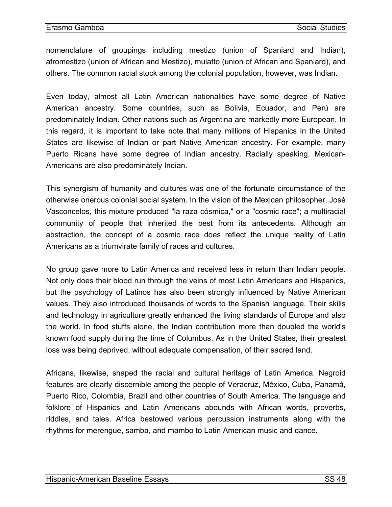nomenclature of groupings including mestizo (union of Spaniard and Indian), afromestizo (union of African and Mestizo), mulatto (union of African and Spaniard), and others. The common racial stock among the colonial population, however, was Indian.

Even today, almost all Latin American nationalities have some degree of Native American ancestry. Some countries, such as Bolivia, Ecuador, and Perú are predominately Indian. Other nations such as Argentina are markedly more European. In this regard, it is important to take note that many millions of Hispanics in the United States are likewise of Indian or part Native American ancestry. For example, many Puerto Ricans have some degree of Indian ancestry. Racially speaking, Mexican-Americans are also predominately Indian.

This synergism of humanity and cultures was one of the fortunate circumstance of the otherwise onerous colonial social system. In the vision of the Mexican philosopher, José Vasconcelos, this mixture produced "la raza cósmica," or a "cosmic race"; a multiracial community of people that inherited the best from its antecedents. Although an abstraction, the concept of a cosmic race does reflect the unique reality of Latin Americans as a triumvirate family of races and cultures.

No group gave more to Latin America and received less in return than Indian people. Not only does their blood run through the veins of most Latin Americans and Hispanics, but the psychology of Latinos has also been strongly influenced by Native American values. They also introduced thousands of words to the Spanish language. Their skills and technology in agriculture greatly enhanced the living standards of Europe and also the world. In food stuffs alone, the Indian contribution more than doubled the world's known food supply during the time of Columbus. As in the United States, their greatest loss was being deprived, without adequate compensation, of their sacred land.

Africans, likewise, shaped the racial and cultural heritage of Latin America. Negroid features are clearly discernible among the people of Veracruz, México, Cuba, Panamá, Puerto Rico, Colombia, Brazil and other countries of South America. The language and folklore of Hispanics and Latin Americans abounds with African words, proverbs, riddles, and tales. Africa bestowed various percussion instruments along with the rhythms for merengue, samba, and mambo to Latin American music and dance.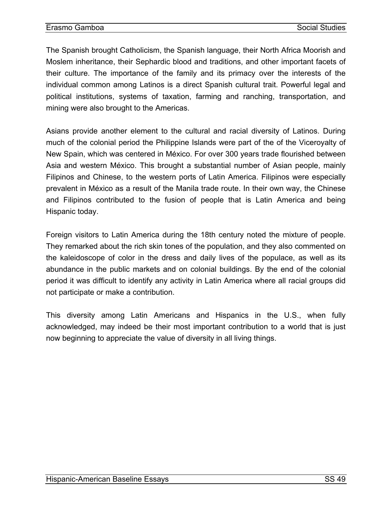The Spanish brought Catholicism, the Spanish language, their North Africa Moorish and Moslem inheritance, their Sephardic blood and traditions, and other important facets of their culture. The importance of the family and its primacy over the interests of the individual common among Latinos is a direct Spanish cultural trait. Powerful legal and political institutions, systems of taxation, farming and ranching, transportation, and mining were also brought to the Americas.

Asians provide another element to the cultural and racial diversity of Latinos. During much of the colonial period the Philippine Islands were part of the of the Viceroyalty of New Spain, which was centered in México. For over 300 years trade flourished between Asia and western México. This brought a substantial number of Asian people, mainly Filipinos and Chinese, to the western ports of Latin America. Filipinos were especially prevalent in México as a result of the Manila trade route. In their own way, the Chinese and Filipinos contributed to the fusion of people that is Latin America and being Hispanic today.

Foreign visitors to Latin America during the 18th century noted the mixture of people. They remarked about the rich skin tones of the population, and they also commented on the kaleidoscope of color in the dress and daily lives of the populace, as well as its abundance in the public markets and on colonial buildings. By the end of the colonial period it was difficult to identify any activity in Latin America where all racial groups did not participate or make a contribution.

This diversity among Latin Americans and Hispanics in the U.S., when fully acknowledged, may indeed be their most important contribution to a world that is just now beginning to appreciate the value of diversity in all living things.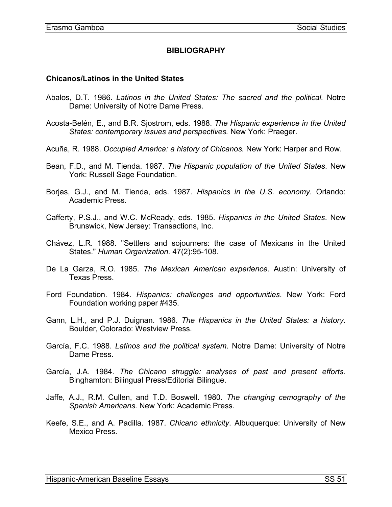## **BIBLIOGRAPHY**

#### <span id="page-52-0"></span>**Chicanos/Latinos in the United States**

- Abalos, D.T. 1986. *Latinos in the United States: The sacred and the political.* Notre Dame: University of Notre Dame Press.
- Acosta-Belén, E., and B.R. Sjostrom, eds. 1988. *The Hispanic experience in the United States: contemporary issues and perspectives.* New York: Praeger.
- Acuña, R. 1988. *Occupied America: a history of Chicanos.* New York: Harper and Row.
- Bean, F.D., and M. Tienda. 1987. *The Hispanic population of the United States*. New York: Russell Sage Foundation.
- Borjas, G.J., and M. Tienda, eds. 1987. *Hispanics in the U.S. economy.* Orlando: Academic Press.
- Cafferty, P.S.J., and W.C. McReady, eds. 1985. *Hispanics in the United States*. New Brunswick, New Jersey: Transactions, Inc.
- Chávez, L.R. 1988. "Settlers and sojourners: the case of Mexicans in the United States." *Human Organization.* 47(2):95-108.
- De La Garza, R.O. 1985. *The Mexican American experience*. Austin: University of Texas Press.
- Ford Foundation. 1984. *Hispanics: challenges and opportunities*. New York: Ford Foundation working paper #435.
- Gann, L.H., and P.J. Duignan. 1986. *The Hispanics in the United States: a history*. Boulder, Colorado: Westview Press.
- García, F.C. 1988. *Latinos and the political system*. Notre Dame: University of Notre Dame Press.
- García, J.A. 1984. *The Chicano struggle: analyses of past and present efforts*. Binghamton: Bilingual Press/Editorial Bilingue.
- Jaffe, A.J., R.M. Cullen, and T.D. Boswell. 1980. *The changing cemography of the Spanish Americans*. New York: Academic Press.
- Keefe, S.E., and A. Padilla. 1987. *Chicano ethnicity*. Albuquerque: University of New Mexico Press.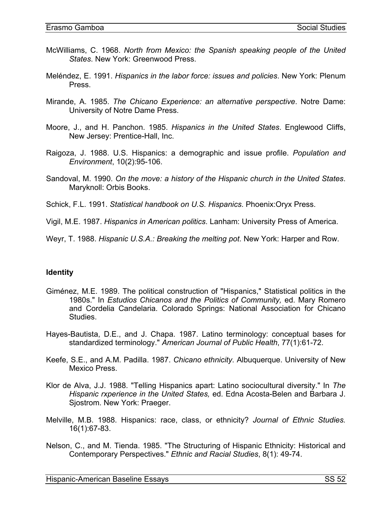- <span id="page-53-0"></span>McWilliams, C. 1968. *North from Mexico: the Spanish speaking people of the United States*. New York: Greenwood Press.
- Meléndez, E. 1991. *Hispanics in the labor force: issues and policies*. New York: Plenum Press.
- Mirande, A. 1985. *The Chicano Experience: an alternative perspective*. Notre Dame: University of Notre Dame Press.
- Moore, J., and H. Panchon. 1985. *Hispanics in the United States*. Englewood Cliffs, New Jersey: Prentice-Hall, Inc.
- Raigoza, J. 1988. U.S. Hispanics: a demographic and issue profile. *Population and Environment*, 10(2):95-106.
- Sandoval, M. 1990. *On the move: a history of the Hispanic church in the United States*. Maryknoll: Orbis Books.
- Schick, F.L. 1991. *Statistical handbook on U.S. Hispanics*. Phoenix:Oryx Press.
- Vigil, M.E. 1987. *Hispanics in American politics*. Lanham: University Press of America.
- Weyr, T. 1988. *Hispanic U.S.A.: Breaking the melting pot*. New York: Harper and Row.

#### **Identity**

- Giménez, M.E. 1989. The political construction of "Hispanics," Statistical politics in the 1980s." In *Estudios Chicanos and the Politics of Community,* ed. Mary Romero and Cordelia Candelaria. Colorado Springs: National Association for Chicano Studies.
- Hayes-Bautista, D.E., and J. Chapa. 1987. Latino terminology: conceptual bases for standardized terminology." *American Journal of Public Health*, 77(1):61-72.
- Keefe, S.E., and A.M. Padilla. 1987. *Chicano ethnicity*. Albuquerque. University of New Mexico Press.
- Klor de Alva, J.J. 1988. "Telling Hispanics apart: Latino sociocultural diversity." In *The Hispanic rxperience in the United States,* ed. Edna Acosta-Belen and Barbara J. Sjostrom. New York: Praeger.
- Melville, M.B. 1988. Hispanics: race, class, or ethnicity? *Journal of Ethnic Studies.* 16(1):67-83.
- Nelson, C., and M. Tienda. 1985. "The Structuring of Hispanic Ethnicity: Historical and Contemporary Perspectives." *Ethnic and Racial Studies*, 8(1): 49-74.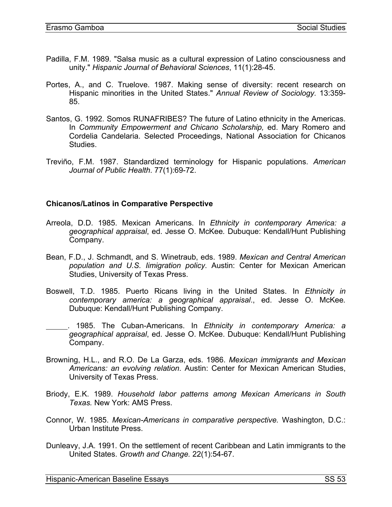- <span id="page-54-0"></span>Padilla, F.M. 1989. "Salsa music as a cultural expression of Latino consciousness and unity." *Hispanic Journal of Behavioral Sciences*, 11(1):28-45.
- Portes, A., and C. Truelove. 1987. Making sense of diversity: recent research on Hispanic minorities in the United States." *Annual Review of Sociology.* 13:359- 85.
- Santos, G. 1992. Somos RUNAFRIBES? The future of Latino ethnicity in the Americas. In *Community Empowerment and Chicano Scholarship,* ed. Mary Romero and Cordelia Candelaria. Selected Proceedings, National Association for Chicanos Studies.
- Treviño, F.M. 1987. Standardized terminology for Hispanic populations. *American Journal of Public Health*. 77(1):69-72.

#### **Chicanos/Latinos in Comparative Perspective**

- Arreola, D.D. 1985. Mexican Americans. In *Ethnicity in contemporary America: a geographical appraisal*, ed. Jesse O. McKee*.* Dubuque: Kendall/Hunt Publishing Company.
- Bean, F.D., J. Schmandt, and S. Winetraub, eds. 1989. *Mexican and Central American population and U.S. Iimigration policy*. Austin: Center for Mexican American Studies, University of Texas Press.
- Boswell, T.D. 1985. Puerto Ricans living in the United States. In *Ethnicity in contemporary america: a geographical appraisal*., ed. Jesse O. McKee*.* Dubuque: Kendall/Hunt Publishing Company.
- . 1985. The Cuban-Americans. In *Ethnicity in contemporary America: a geographical appraisal*, ed. Jesse O. McKee. Dubuque: Kendall/Hunt Publishing Company.
- Browning, H.L., and R.O. De La Garza, eds. 1986. *Mexican immigrants and Mexican Americans: an evolving relation*. Austin: Center for Mexican American Studies, University of Texas Press.
- Briody, E.K. 1989. *Household labor patterns among Mexican Americans in South Texas.* New York: AMS Press.
- Connor, W. 1985. *Mexican-Americans in comparative perspective.* Washington, D.C.: Urban Institute Press.
- Dunleavy, J.A. 1991. On the settlement of recent Caribbean and Latin immigrants to the United States. *Growth and Change.* 22(1):54-67.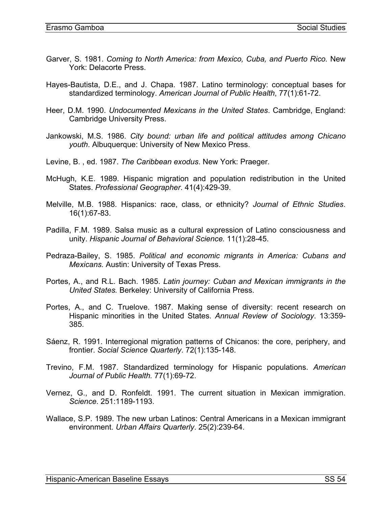- Garver, S. 1981. *Coming to North America: from Mexico, Cuba, and Puerto Rico.* New York: Delacorte Press.
- Hayes-Bautista, D.E., and J. Chapa. 1987. Latino terminology: conceptual bases for standardized terminology. *American Journal of Public Health*, 77(1):61-72.
- Heer, D.M. 1990. *Undocumented Mexicans in the United States*. Cambridge, England: Cambridge University Press.
- Jankowski, M.S. 1986. *City bound: urban life and political attitudes among Chicano youth*. Albuquerque: University of New Mexico Press.
- Levine, B. , ed. 1987. *The Caribbean exodus*. New York: Praeger*.*
- McHugh, K.E. 1989. Hispanic migration and population redistribution in the United States. *Professional Geographer*. 41(4):429-39.
- Melville, M.B. 1988. Hispanics: race, class, or ethnicity? *Journal of Ethnic Studies*. 16(1):67-83.
- Padilla, F.M. 1989. Salsa music as a cultural expression of Latino consciousness and unity. *Hispanic Journal of Behavioral Science.* 11(1):28-45.
- Pedraza-Bailey, S. 1985. *Political and economic migrants in America: Cubans and Mexicans.* Austin: University of Texas Press.
- Portes, A., and R.L. Bach. 1985. *Latin journey: Cuban and Mexican immigrants in the United States.* Berkeley: University of California Press.
- Portes, A., and C. Truelove. 1987. Making sense of diversity: recent research on Hispanic minorities in the United States. *Annual Review of Sociology*. 13:359- 385.
- Sáenz, R. 1991. Interregional migration patterns of Chicanos: the core, periphery, and frontier. *Social Science Quarterly*. 72(1):135-148.
- Trevino, F.M. 1987. Standardized terminology for Hispanic populations. *American Journal of Public Health.* 77(1):69-72.
- Vernez, G., and D. Ronfeldt. 1991. The current situation in Mexican immigration. *Science*. 251:1189-1193.
- Wallace, S.P. 1989. The new urban Latinos: Central Americans in a Mexican immigrant environment. *Urban Affairs Quarterly*. 25(2):239-64.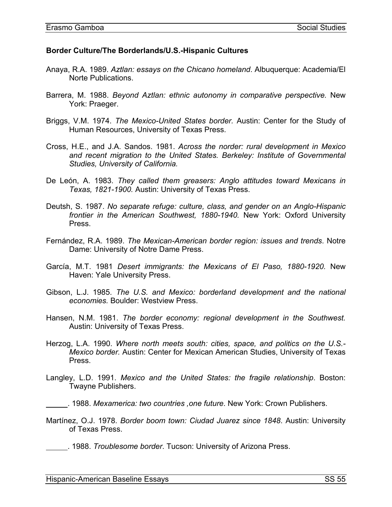#### <span id="page-56-0"></span>**Border Culture/The Borderlands/U.S.-Hispanic Cultures**

- Anaya, R.A. 1989. *Aztlan: essays on the Chicano homeland*. Albuquerque: Academia/El Norte Publications.
- Barrera, M. 1988. *Beyond Aztlan: ethnic autonomy in comparative perspective.* New York: Praeger.
- Briggs, V.M. 1974. *The Mexico-United States border.* Austin: Center for the Study of Human Resources, University of Texas Press.
- Cross, H.E., and J.A. Sandos. 1981. *Across the norder: rural development in Mexico*  and recent migration to the United States. Berkeley: Institute of Governmental *Studies, University of California.*
- De León, A. 1983. *They called them greasers: Anglo attitudes toward Mexicans in Texas, 1821-1900.* Austin: University of Texas Press.
- Deutsh, S. 1987. *No separate refuge: culture, class, and gender on an Anglo-Hispanic frontier in the American Southwest, 1880-1940.* New York: Oxford University Press.
- Fernández, R.A. 1989. *The Mexican-American border region: issues and trends*. Notre Dame: University of Notre Dame Press.
- García, M.T. 1981 *Desert immigrants: the Mexicans of El Paso, 1880-1920.* New Haven: Yale University Press.
- Gibson, L.J. 1985. *The U.S. and Mexico: borderland development and the national economies.* Boulder: Westview Press.
- Hansen, N.M. 1981. *The border economy: regional development in the Southwest.* Austin: University of Texas Press.
- Herzog, L.A. 1990. *Where north meets south: cities, space, and politics on the U.S.- Mexico border.* Austin: Center for Mexican American Studies, University of Texas Press.
- Langley, L.D. 1991. *Mexico and the United States: the fragile relationship*. Boston: Twayne Publishers.

- Martínez, O.J. 1978. *Border boom town: Ciudad Juarez since 1848*. Austin: University of Texas Press.
- . 1988. *Troublesome border*. Tucson: University of Arizona Press.

 <sup>. 1988.</sup> *Mexamerica: two countries ,one future*. New York: Crown Publishers.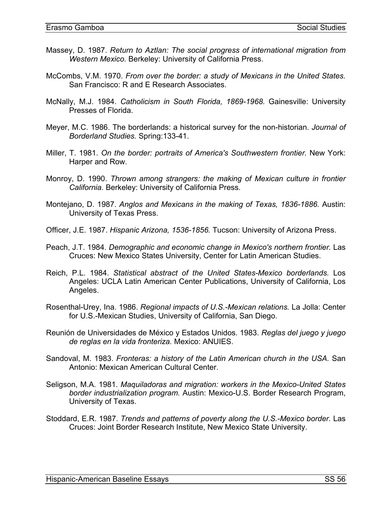- Massey, D. 1987. *Return to Aztlan: The social progress of international migration from Western Mexico.* Berkeley: University of California Press.
- McCombs, V.M. 1970. *From over the border: a study of Mexicans in the United States.* San Francisco: R and E Research Associates.
- McNally, M.J. 1984. *Catholicism in South Florida, 1869-1968.* Gainesville: University Presses of Florida.
- Meyer, M.C. 1986. The borderlands: a historical survey for the non-historian. *Journal of Borderland Studies.* Spring:133-41.
- Miller, T. 1981. *On the border: portraits of America's Southwestern frontier.* New York: Harper and Row.
- Monroy, D. 1990. *Thrown among strangers: the making of Mexican culture in frontier California.* Berkeley: University of California Press.
- Montejano, D. 1987. *Anglos and Mexicans in the making of Texas, 1836-1886.* Austin: University of Texas Press.
- Officer, J.E. 1987. *Hispanic Arizona, 1536-1856.* Tucson: University of Arizona Press.
- Peach, J.T. 1984. *Demographic and economic change in Mexico's northern frontier.* Las Cruces: New Mexico States University, Center for Latin American Studies.
- Reich, P.L. 1984. *Statistical abstract of the United States-Mexico borderlands.* Los Angeles: UCLA Latin American Center Publications, University of California, Los Angeles.
- Rosenthal-Urey, Ina. 1986. *Regional impacts of U.S.-Mexican relations.* La Jolla: Center for U.S.-Mexican Studies, University of California, San Diego.
- Reunión de Universidades de México y Estados Unidos. 1983. *Reglas del juego y juego de reglas en la vida fronteriza.* Mexico: ANUIES.
- Sandoval, M. 1983. *Fronteras: a history of the Latin American church in the USA.* San Antonio: Mexican American Cultural Center.
- Seligson, M.A. 1981. *Maquiladoras and migration: workers in the Mexico-United States border industrialization program.* Austin: Mexico-U.S. Border Research Program, University of Texas.
- Stoddard, E.R. 1987. *Trends and patterns of poverty along the U.S.-Mexico border.* Las Cruces: Joint Border Research Institute, New Mexico State University.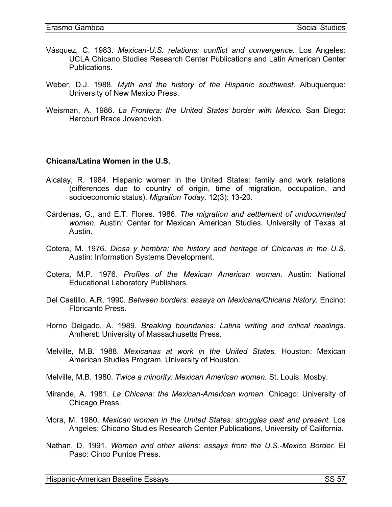- <span id="page-58-0"></span>Vásquez, C. 1983. *Mexican-U.S. relations: conflict and convergence.* Los Angeles: UCLA Chicano Studies Research Center Publications and Latin American Center Publications.
- Weber, D.J. 1988. *Myth and the history of the Hispanic southwest.* Albuquerque: University of New Mexico Press.
- Weisman, A. 1986. *La Frontera: the United States border with Mexico.* San Diego: Harcourt Brace Jovanovich.

#### **Chicana/Latina Women in the U.S.**

- Alcalay, R. 1984. Hispanic women in the United States: family and work relations (differences due to country of origin, time of migration, occupation, and socioeconomic status). *Migration Today.* 12(3): 13-20.
- Cárdenas, G., and E.T. Flores. 1986. *The migration and settlement of undocumented women*. Austin: Center for Mexican American Studies, University of Texas at Austin.
- Cotera, M. 1976. *Diosa y hembra: the history and heritage of Chicanas in the U.S.* Austin: Information Systems Development.
- Cotera, M.P. 1976. *Profiles of the Mexican American woman.* Austin: National Educational Laboratory Publishers.
- Del Castillo, A.R. 1990. *Between borders: essays on Mexicana/Chicana history.* Encino: Floricanto Press.
- Horno Delgado, A. 1989. *Breaking boundaries: Latina writing and critical readings.* Amherst: University of Massachusetts Press.
- Melville, M.B. 1988. *Mexicanas at work in the United States.* Houston: Mexican American Studies Program, University of Houston.
- Melville, M.B. 1980. *Twice a minority: Mexican American women.* St. Louis: Mosby.
- Mirande, A. 1981. *La Chicana: the Mexican-American woman.* Chicago: University of Chicago Press.
- Mora, M. 1980. *Mexican women in the United States: struggles past and present.* Los Angeles: Chicano Studies Research Center Publications, University of California.
- Nathan, D. 1991. *Women and other aliens: essays from the U.S.-Mexico Border.* El Paso: Cinco Puntos Press.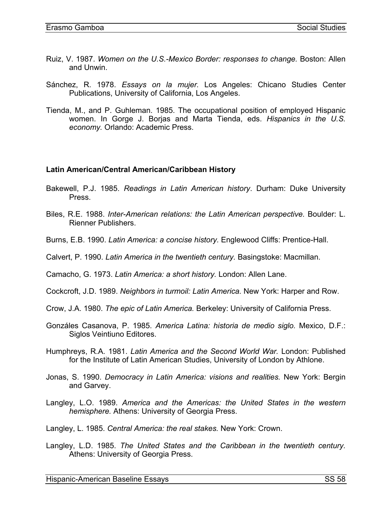- <span id="page-59-0"></span>Ruiz, V. 1987. *Women on the U.S.-Mexico Border: responses to change.* Boston: Allen and Unwin.
- Sánchez, R. 1978. *Essays on la mujer.* Los Angeles: Chicano Studies Center Publications, University of California, Los Angeles.
- Tienda, M., and P. Guhleman. 1985. The occupational position of employed Hispanic women. In Gorge J. Borjas and Marta Tienda, eds. *Hispanics in the U.S. economy.* Orlando: Academic Press.

#### **Latin American/Central American/Caribbean History**

- Bakewell, P.J. 1985. *Readings in Latin American history*. Durham: Duke University Press.
- Biles, R.E. 1988. *Inter-American relations: the Latin American perspective.* Boulder: L. Rienner Publishers.
- Burns, E.B. 1990. *Latin America: a concise history.* Englewood Cliffs: Prentice-Hall.
- Calvert, P. 1990. *Latin America in the twentieth century.* Basingstoke: Macmillan.

Camacho, G. 1973. *Latin America: a short history.* London: Allen Lane.

- Cockcroft, J.D. 1989. *Neighbors in turmoil: Latin America.* New York: Harper and Row.
- Crow, J.A. 1980. *The epic of Latin America.* Berkeley: University of California Press.
- Gonzáles Casanova, P. 1985. *America Latina: historia de medio siglo.* Mexico, D.F.: Siglos Veintiuno Editores.
- Humphreys, R.A. 1981. *Latin America and the Second World War.* London: Published for the Institute of Latin American Studies, University of London by Athlone.
- Jonas, S. 1990. *Democracy in Latin America: visions and realities.* New York: Bergin and Garvey.
- Langley, L.O. 1989. *America and the Americas: the United States in the western hemisphere.* Athens: University of Georgia Press.
- Langley, L. 1985. *Central America: the real stakes.* New York: Crown.
- Langley, L.D. 1985. *The United States and the Caribbean in the twentieth century.* Athens: University of Georgia Press.